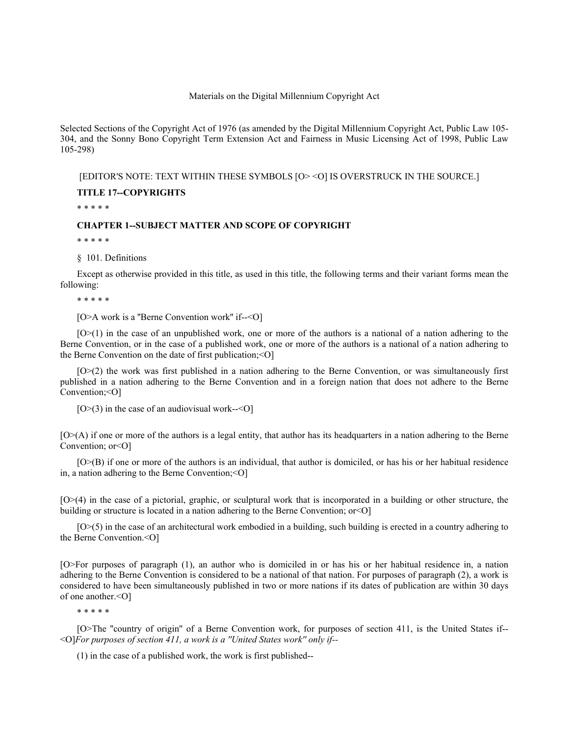# Materials on the Digital Millennium Copyright Act

Selected Sections of the Copyright Act of 1976 (as amended by the Digital Millennium Copyright Act, Public Law 105- 304, and the Sonny Bono Copyright Term Extension Act and Fairness in Music Licensing Act of 1998, Public Law 105-298)

[EDITOR'S NOTE: TEXT WITHIN THESE SYMBOLS [O> <O] IS OVERSTRUCK IN THE SOURCE.]

**TITLE 17--COPYRIGHTS**

\* \* \* \* \*

## **CHAPTER 1--SUBJECT MATTER AND SCOPE OF COPYRIGHT**

\* \* \* \* \*

§ 101. Definitions

Except as otherwise provided in this title, as used in this title, the following terms and their variant forms mean the following:

\* \* \* \* \*

[O>A work is a ''Berne Convention work'' if--<O]

 $[O>(1)]$  in the case of an unpublished work, one or more of the authors is a national of a nation adhering to the Berne Convention, or in the case of a published work, one or more of the authors is a national of a nation adhering to the Berne Convention on the date of first publication;<O]

[O>(2) the work was first published in a nation adhering to the Berne Convention, or was simultaneously first published in a nation adhering to the Berne Convention and in a foreign nation that does not adhere to the Berne Convention;<O]

 $[O>(3)]$  in the case of an audiovisual work-- $[O]$ 

[O>(A) if one or more of the authors is a legal entity, that author has its headquarters in a nation adhering to the Berne Convention; or<0]

[O>(B) if one or more of the authors is an individual, that author is domiciled, or has his or her habitual residence in, a nation adhering to the Berne Convention;<O]

[O>(4) in the case of a pictorial, graphic, or sculptural work that is incorporated in a building or other structure, the building or structure is located in a nation adhering to the Berne Convention; or<O]

 $[O>(5)]$  in the case of an architectural work embodied in a building, such building is erected in a country adhering to the Berne Convention.<O]

[O>For purposes of paragraph (1), an author who is domiciled in or has his or her habitual residence in, a nation adhering to the Berne Convention is considered to be a national of that nation. For purposes of paragraph (2), a work is considered to have been simultaneously published in two or more nations if its dates of publication are within 30 days of one another.<O]

\* \* \* \* \*

[O>The ''country of origin'' of a Berne Convention work, for purposes of section 411, is the United States if-- <O]*For purposes of section 411, a work is a ''United States work'' only if--*

(1) in the case of a published work, the work is first published--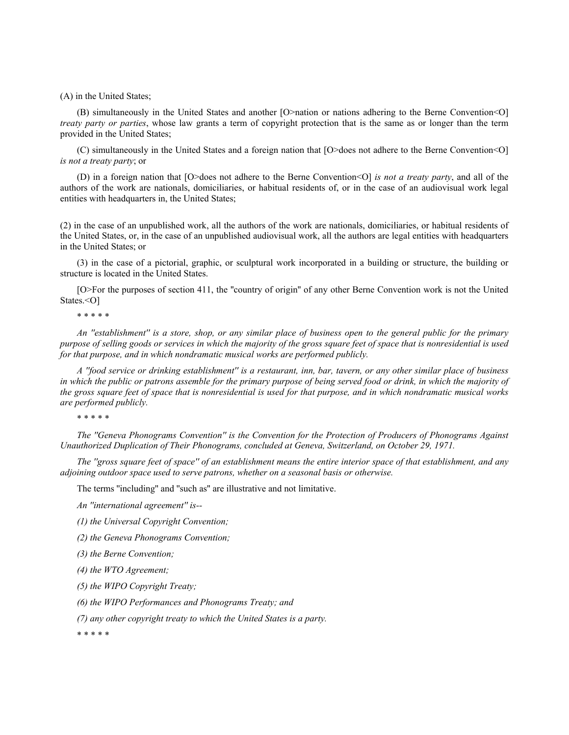(A) in the United States;

(B) simultaneously in the United States and another [O>nation or nations adhering to the Berne Convention<O] *treaty party or parties*, whose law grants a term of copyright protection that is the same as or longer than the term provided in the United States;

(C) simultaneously in the United States and a foreign nation that [O>does not adhere to the Berne Convention<O] *is not a treaty party*; or

(D) in a foreign nation that [O>does not adhere to the Berne Convention<O] *is not a treaty party*, and all of the authors of the work are nationals, domiciliaries, or habitual residents of, or in the case of an audiovisual work legal entities with headquarters in, the United States;

(2) in the case of an unpublished work, all the authors of the work are nationals, domiciliaries, or habitual residents of the United States, or, in the case of an unpublished audiovisual work, all the authors are legal entities with headquarters in the United States; or

(3) in the case of a pictorial, graphic, or sculptural work incorporated in a building or structure, the building or structure is located in the United States.

[O>For the purposes of section 411, the ''country of origin'' of any other Berne Convention work is not the United States.<O]

\* \* \* \* \*

*An ''establishment'' is a store, shop, or any similar place of business open to the general public for the primary purpose of selling goods or services in which the majority of the gross square feet of space that is nonresidential is used for that purpose, and in which nondramatic musical works are performed publicly.*

*A ''food service or drinking establishment'' is a restaurant, inn, bar, tavern, or any other similar place of business in which the public or patrons assemble for the primary purpose of being served food or drink, in which the majority of the gross square feet of space that is nonresidential is used for that purpose, and in which nondramatic musical works are performed publicly.*

\* \* \* \* \*

*The ''Geneva Phonograms Convention'' is the Convention for the Protection of Producers of Phonograms Against Unauthorized Duplication of Their Phonograms, concluded at Geneva, Switzerland, on October 29, 1971.*

*The ''gross square feet of space'' of an establishment means the entire interior space of that establishment, and any adjoining outdoor space used to serve patrons, whether on a seasonal basis or otherwise.*

The terms ''including'' and ''such as'' are illustrative and not limitative.

*An ''international agreement'' is--*

*(1) the Universal Copyright Convention;*

*(2) the Geneva Phonograms Convention;*

*(3) the Berne Convention;*

*(4) the WTO Agreement;*

*(5) the WIPO Copyright Treaty;*

*(6) the WIPO Performances and Phonograms Treaty; and*

*(7) any other copyright treaty to which the United States is a party.*

\* \* \* \* \*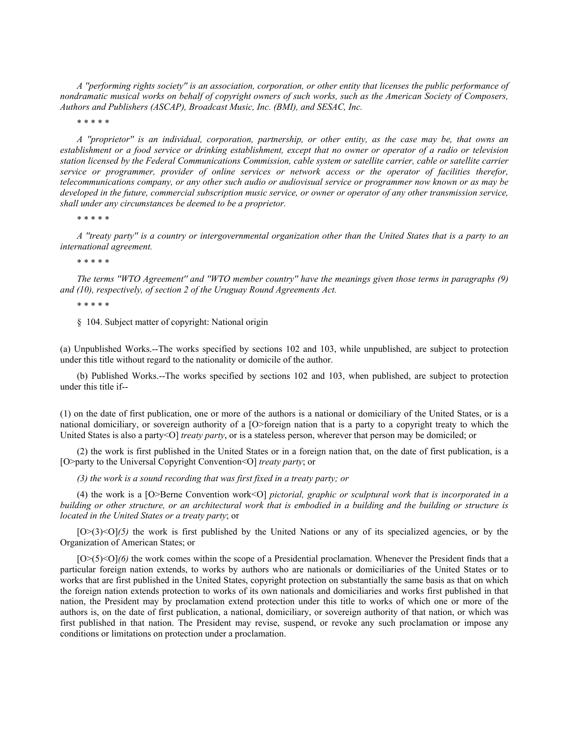*A ''performing rights society'' is an association, corporation, or other entity that licenses the public performance of nondramatic musical works on behalf of copyright owners of such works, such as the American Society of Composers, Authors and Publishers (ASCAP), Broadcast Music, Inc. (BMI), and SESAC, Inc.*

\* \* \* \* \*

*A ''proprietor'' is an individual, corporation, partnership, or other entity, as the case may be, that owns an establishment or a food service or drinking establishment, except that no owner or operator of a radio or television station licensed by the Federal Communications Commission, cable system or satellite carrier, cable or satellite carrier service or programmer, provider of online services or network access or the operator of facilities therefor, telecommunications company, or any other such audio or audiovisual service or programmer now known or as may be developed in the future, commercial subscription music service, or owner or operator of any other transmission service, shall under any circumstances be deemed to be a proprietor.*

\* \* \* \* \*

*A ''treaty party'' is a country or intergovernmental organization other than the United States that is a party to an international agreement.*

\* \* \* \* \*

*The terms ''WTO Agreement'' and ''WTO member country'' have the meanings given those terms in paragraphs (9) and (10), respectively, of section 2 of the Uruguay Round Agreements Act.*

\* \* \* \* \*

§ 104. Subject matter of copyright: National origin

(a) Unpublished Works.--The works specified by sections 102 and 103, while unpublished, are subject to protection under this title without regard to the nationality or domicile of the author.

(b) Published Works.--The works specified by sections 102 and 103, when published, are subject to protection under this title if--

(1) on the date of first publication, one or more of the authors is a national or domiciliary of the United States, or is a national domiciliary, or sovereign authority of a [O>foreign nation that is a party to a copyright treaty to which the United States is also a party<O] *treaty party*, or is a stateless person, wherever that person may be domiciled; or

(2) the work is first published in the United States or in a foreign nation that, on the date of first publication, is a [O>party to the Universal Copyright Convention<O] *treaty party*; or

*(3) the work is a sound recording that was first fixed in a treaty party; or*

(4) the work is a [O>Berne Convention work<O] *pictorial, graphic or sculptural work that is incorporated in a building or other structure, or an architectural work that is embodied in a building and the building or structure is located in the United States or a treaty party*; or

[O>(3)<O]*(5)* the work is first published by the United Nations or any of its specialized agencies, or by the Organization of American States; or

 $[O>(5)$  (O) $(6)$  the work comes within the scope of a Presidential proclamation. Whenever the President finds that a particular foreign nation extends, to works by authors who are nationals or domiciliaries of the United States or to works that are first published in the United States, copyright protection on substantially the same basis as that on which the foreign nation extends protection to works of its own nationals and domiciliaries and works first published in that nation, the President may by proclamation extend protection under this title to works of which one or more of the authors is, on the date of first publication, a national, domiciliary, or sovereign authority of that nation, or which was first published in that nation. The President may revise, suspend, or revoke any such proclamation or impose any conditions or limitations on protection under a proclamation.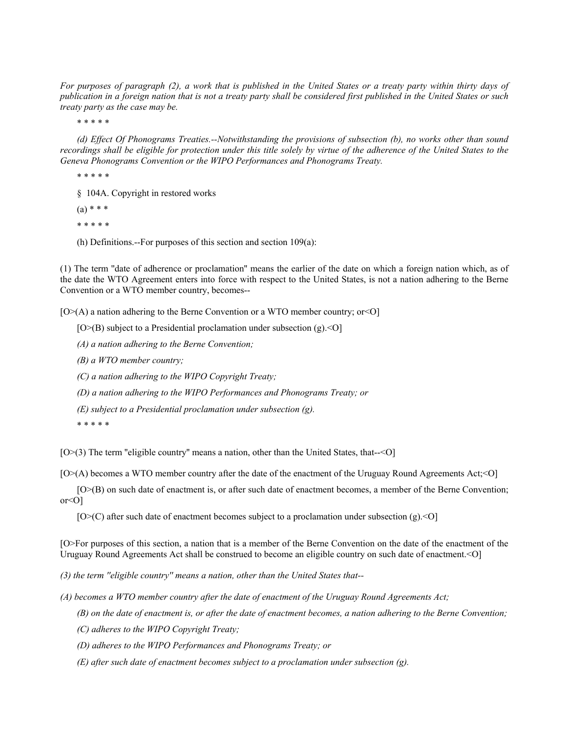*For purposes of paragraph (2), a work that is published in the United States or a treaty party within thirty days of publication in a foreign nation that is not a treaty party shall be considered first published in the United States or such treaty party as the case may be.*

\* \* \* \* \*

*(d) Effect Of Phonograms Treaties.--Notwithstanding the provisions of subsection (b), no works other than sound recordings shall be eligible for protection under this title solely by virtue of the adherence of the United States to the Geneva Phonograms Convention or the WIPO Performances and Phonograms Treaty.*

\* \* \* \* \*

§ 104A. Copyright in restored works

 $(a) * * *$ 

\* \* \* \* \*

(h) Definitions.--For purposes of this section and section 109(a):

(1) The term ''date of adherence or proclamation'' means the earlier of the date on which a foreign nation which, as of the date the WTO Agreement enters into force with respect to the United States, is not a nation adhering to the Berne Convention or a WTO member country, becomes--

 $[O>(A)]$  a nation adhering to the Berne Convention or a WTO member country; or < O]

 $[O>(B)]$  subject to a Presidential proclamation under subsection (g).  $[O]$ 

*(A) a nation adhering to the Berne Convention;*

*(B) a WTO member country;*

*(C) a nation adhering to the WIPO Copyright Treaty;*

*(D) a nation adhering to the WIPO Performances and Phonograms Treaty; or*

*(E) subject to a Presidential proclamation under subsection (g).*

\* \* \* \* \*

 $[O>(3)]$  The term "eligible country" means a nation, other than the United States, that- $\leq O$ ]

[O>(A) becomes a WTO member country after the date of the enactment of the Uruguay Round Agreements Act;<O]

[O>(B) on such date of enactment is, or after such date of enactment becomes, a member of the Berne Convention; or<O]

 $[O>(C)]$  after such date of enactment becomes subject to a proclamation under subsection (g). < O]

[O>For purposes of this section, a nation that is a member of the Berne Convention on the date of the enactment of the Uruguay Round Agreements Act shall be construed to become an eligible country on such date of enactment.<O]

*(3) the term ''eligible country'' means a nation, other than the United States that--*

*(A) becomes a WTO member country after the date of enactment of the Uruguay Round Agreements Act;*

*(B) on the date of enactment is, or after the date of enactment becomes, a nation adhering to the Berne Convention;*

*(C) adheres to the WIPO Copyright Treaty;*

*(D) adheres to the WIPO Performances and Phonograms Treaty; or*

*(E) after such date of enactment becomes subject to a proclamation under subsection (g).*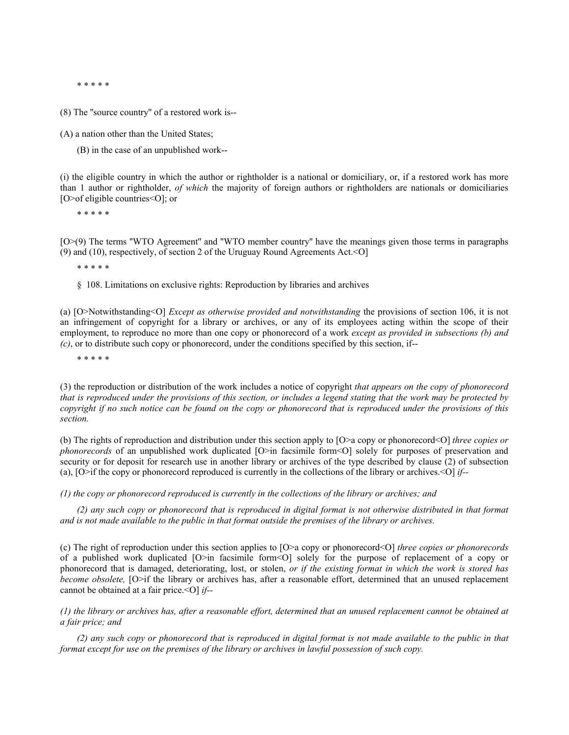\* \* \* \* \*

(8) The ''source country'' of a restored work is--

(A) a nation other than the United States;

(B) in the case of an unpublished work--

(i) the eligible country in which the author or rightholder is a national or domiciliary, or, if a restored work has more than 1 author or rightholder, *of which* the majority of foreign authors or rightholders are nationals or domiciliaries [O>of eligible countries<O]; or

\* \* \* \* \*

[O>(9) The terms ''WTO Agreement'' and ''WTO member country'' have the meanings given those terms in paragraphs (9) and (10), respectively, of section 2 of the Uruguay Round Agreements Act.<O]

\* \* \* \* \*

§ 108. Limitations on exclusive rights: Reproduction by libraries and archives

(a) [O>Notwithstanding<O] *Except as otherwise provided and notwithstanding* the provisions of section 106, it is not an infringement of copyright for a library or archives, or any of its employees acting within the scope of their employment, to reproduce no more than one copy or phonorecord of a work *except as provided in subsections (b) and (c)*, or to distribute such copy or phonorecord, under the conditions specified by this section, if--

\* \* \* \* \*

(3) the reproduction or distribution of the work includes a notice of copyright *that appears on the copy of phonorecord that is reproduced under the provisions of this section, or includes a legend stating that the work may be protected by copyright if no such notice can be found on the copy or phonorecord that is reproduced under the provisions of this section.*

(b) The rights of reproduction and distribution under this section apply to [O>a copy or phonorecord<O] *three copies or phonorecords* of an unpublished work duplicated [O>in facsimile form<O] solely for purposes of preservation and security or for deposit for research use in another library or archives of the type described by clause (2) of subsection (a), [O>if the copy or phonorecord reproduced is currently in the collections of the library or archives.<O] *if--*

*(1) the copy or phonorecord reproduced is currently in the collections of the library or archives; and*

*(2) any such copy or phonorecord that is reproduced in digital format is not otherwise distributed in that format and is not made available to the public in that format outside the premises of the library or archives.*

(c) The right of reproduction under this section applies to [O>a copy or phonorecord<O] *three copies or phonorecords* of a published work duplicated [O>in facsimile form<O] solely for the purpose of replacement of a copy or phonorecord that is damaged, deteriorating, lost, or stolen, *or if the existing format in which the work is stored has become obsolete,* [O>if the library or archives has, after a reasonable effort, determined that an unused replacement cannot be obtained at a fair price.<O] *if--*

*(1) the library or archives has, after a reasonable effort, determined that an unused replacement cannot be obtained at a fair price; and*

*(2) any such copy or phonorecord that is reproduced in digital format is not made available to the public in that format except for use on the premises of the library or archives in lawful possession of such copy.*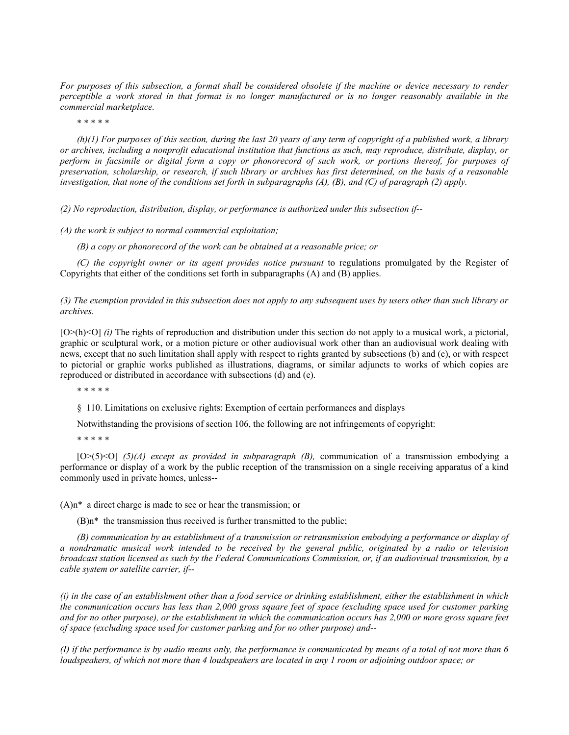*For purposes of this subsection, a format shall be considered obsolete if the machine or device necessary to render perceptible a work stored in that format is no longer manufactured or is no longer reasonably available in the commercial marketplace.*

\* \* \* \* \*

*(h)(1) For purposes of this section, during the last 20 years of any term of copyright of a published work, a library or archives, including a nonprofit educational institution that functions as such, may reproduce, distribute, display, or perform in facsimile or digital form a copy or phonorecord of such work, or portions thereof, for purposes of preservation, scholarship, or research, if such library or archives has first determined, on the basis of a reasonable investigation, that none of the conditions set forth in subparagraphs (A), (B), and (C) of paragraph (2) apply.*

*(2) No reproduction, distribution, display, or performance is authorized under this subsection if--*

*(A) the work is subject to normal commercial exploitation;*

*(B) a copy or phonorecord of the work can be obtained at a reasonable price; or*

*(C) the copyright owner or its agent provides notice pursuant* to regulations promulgated by the Register of Copyrights that either of the conditions set forth in subparagraphs (A) and (B) applies.

*(3) The exemption provided in this subsection does not apply to any subsequent uses by users other than such library or archives.*

[O $>(h)$   $(i)$  The rights of reproduction and distribution under this section do not apply to a musical work, a pictorial, graphic or sculptural work, or a motion picture or other audiovisual work other than an audiovisual work dealing with news, except that no such limitation shall apply with respect to rights granted by subsections (b) and (c), or with respect to pictorial or graphic works published as illustrations, diagrams, or similar adjuncts to works of which copies are reproduced or distributed in accordance with subsections (d) and (e).

\* \* \* \* \*

§ 110. Limitations on exclusive rights: Exemption of certain performances and displays

Notwithstanding the provisions of section 106, the following are not infringements of copyright:

\* \* \* \* \*

[O $>$ (5)<O] (5)(A) except as provided in subparagraph (B), communication of a transmission embodying a performance or display of a work by the public reception of the transmission on a single receiving apparatus of a kind commonly used in private homes, unless--

(A)n\* a direct charge is made to see or hear the transmission; or

 $(B)n^*$  the transmission thus received is further transmitted to the public;

*(B) communication by an establishment of a transmission or retransmission embodying a performance or display of a nondramatic musical work intended to be received by the general public, originated by a radio or television broadcast station licensed as such by the Federal Communications Commission, or, if an audiovisual transmission, by a cable system or satellite carrier, if--*

*(i) in the case of an establishment other than a food service or drinking establishment, either the establishment in which the communication occurs has less than 2,000 gross square feet of space (excluding space used for customer parking and for no other purpose), or the establishment in which the communication occurs has 2,000 or more gross square feet of space (excluding space used for customer parking and for no other purpose) and--*

*(I) if the performance is by audio means only, the performance is communicated by means of a total of not more than 6 loudspeakers, of which not more than 4 loudspeakers are located in any 1 room or adjoining outdoor space; or*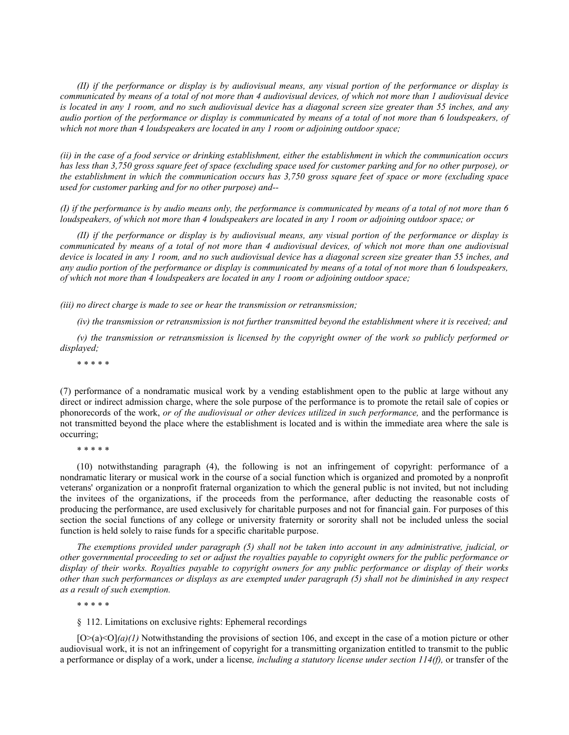*(II) if the performance or display is by audiovisual means, any visual portion of the performance or display is communicated by means of a total of not more than 4 audiovisual devices, of which not more than 1 audiovisual device is located in any 1 room, and no such audiovisual device has a diagonal screen size greater than 55 inches, and any audio portion of the performance or display is communicated by means of a total of not more than 6 loudspeakers, of which not more than 4 loudspeakers are located in any 1 room or adjoining outdoor space;*

*(ii) in the case of a food service or drinking establishment, either the establishment in which the communication occurs*  has less than 3,750 gross square feet of space (excluding space used for customer parking and for no other purpose), or *the establishment in which the communication occurs has 3,750 gross square feet of space or more (excluding space used for customer parking and for no other purpose) and--*

*(I) if the performance is by audio means only, the performance is communicated by means of a total of not more than 6 loudspeakers, of which not more than 4 loudspeakers are located in any 1 room or adjoining outdoor space; or*

*(II) if the performance or display is by audiovisual means, any visual portion of the performance or display is communicated by means of a total of not more than 4 audiovisual devices, of which not more than one audiovisual device is located in any 1 room, and no such audiovisual device has a diagonal screen size greater than 55 inches, and any audio portion of the performance or display is communicated by means of a total of not more than 6 loudspeakers, of which not more than 4 loudspeakers are located in any 1 room or adjoining outdoor space;*

*(iii) no direct charge is made to see or hear the transmission or retransmission;*

*(iv) the transmission or retransmission is not further transmitted beyond the establishment where it is received; and*

*(v) the transmission or retransmission is licensed by the copyright owner of the work so publicly performed or displayed;*

\* \* \* \* \*

(7) performance of a nondramatic musical work by a vending establishment open to the public at large without any direct or indirect admission charge, where the sole purpose of the performance is to promote the retail sale of copies or phonorecords of the work, *or of the audiovisual or other devices utilized in such performance,* and the performance is not transmitted beyond the place where the establishment is located and is within the immediate area where the sale is occurring;

\* \* \* \* \*

(10) notwithstanding paragraph (4), the following is not an infringement of copyright: performance of a nondramatic literary or musical work in the course of a social function which is organized and promoted by a nonprofit veterans' organization or a nonprofit fraternal organization to which the general public is not invited, but not including the invitees of the organizations, if the proceeds from the performance, after deducting the reasonable costs of producing the performance, are used exclusively for charitable purposes and not for financial gain. For purposes of this section the social functions of any college or university fraternity or sorority shall not be included unless the social function is held solely to raise funds for a specific charitable purpose.

*The exemptions provided under paragraph (5) shall not be taken into account in any administrative, judicial, or other governmental proceeding to set or adjust the royalties payable to copyright owners for the public performance or display of their works. Royalties payable to copyright owners for any public performance or display of their works other than such performances or displays as are exempted under paragraph (5) shall not be diminished in any respect as a result of such exemption.*

\* \* \* \* \*

§ 112. Limitations on exclusive rights: Ephemeral recordings

 $[O>(a) \leq O/(a)/(1)$  Notwithstanding the provisions of section 106, and except in the case of a motion picture or other audiovisual work, it is not an infringement of copyright for a transmitting organization entitled to transmit to the public a performance or display of a work, under a license*, including a statutory license under section 114(f),* or transfer of the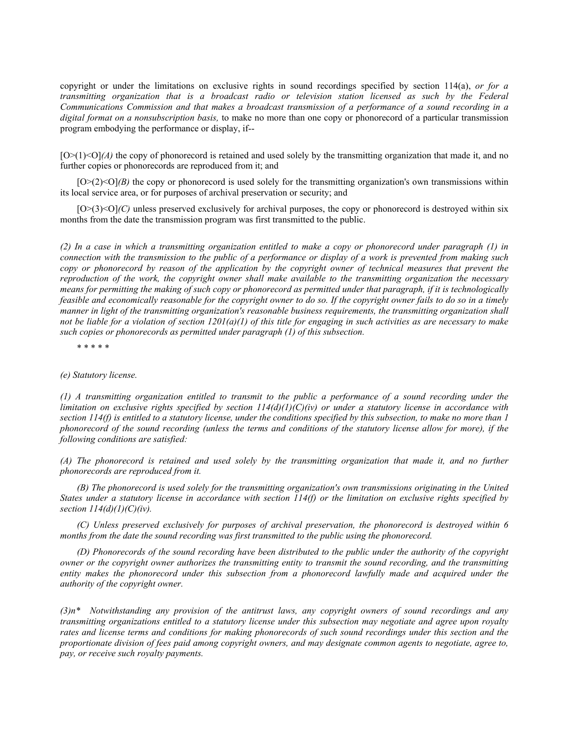copyright or under the limitations on exclusive rights in sound recordings specified by section 114(a), *or for a transmitting organization that is a broadcast radio or television station licensed as such by the Federal Communications Commission and that makes a broadcast transmission of a performance of a sound recording in a digital format on a nonsubscription basis,* to make no more than one copy or phonorecord of a particular transmission program embodying the performance or display, if--

 $[O>(1) < O(A)$  the copy of phonorecord is retained and used solely by the transmitting organization that made it, and no further copies or phonorecords are reproduced from it; and

 $[O>(2) \leq O](B)$  the copy or phonorecord is used solely for the transmitting organization's own transmissions within its local service area, or for purposes of archival preservation or security; and

 $[O>(3)$ < $O](C)$  unless preserved exclusively for archival purposes, the copy or phonorecord is destroyed within six months from the date the transmission program was first transmitted to the public.

*(2) In a case in which a transmitting organization entitled to make a copy or phonorecord under paragraph (1) in connection with the transmission to the public of a performance or display of a work is prevented from making such copy or phonorecord by reason of the application by the copyright owner of technical measures that prevent the reproduction of the work, the copyright owner shall make available to the transmitting organization the necessary means for permitting the making of such copy or phonorecord as permitted under that paragraph, if it is technologically feasible and economically reasonable for the copyright owner to do so. If the copyright owner fails to do so in a timely manner in light of the transmitting organization's reasonable business requirements, the transmitting organization shall not be liable for a violation of section 1201(a)(1) of this title for engaging in such activities as are necessary to make such copies or phonorecords as permitted under paragraph (1) of this subsection.*

\* \* \* \* \*

*(e) Statutory license.*

*(1) A transmitting organization entitled to transmit to the public a performance of a sound recording under the limitation on exclusive rights specified by section 114(d)(1)(C)(iv) or under a statutory license in accordance with section 114(f) is entitled to a statutory license, under the conditions specified by this subsection, to make no more than 1 phonorecord of the sound recording (unless the terms and conditions of the statutory license allow for more), if the following conditions are satisfied:*

*(A) The phonorecord is retained and used solely by the transmitting organization that made it, and no further phonorecords are reproduced from it.*

*(B) The phonorecord is used solely for the transmitting organization's own transmissions originating in the United States under a statutory license in accordance with section 114(f) or the limitation on exclusive rights specified by section 114(d)(1)(C)(iv).*

*(C) Unless preserved exclusively for purposes of archival preservation, the phonorecord is destroyed within 6 months from the date the sound recording was first transmitted to the public using the phonorecord.*

*(D) Phonorecords of the sound recording have been distributed to the public under the authority of the copyright owner or the copyright owner authorizes the transmitting entity to transmit the sound recording, and the transmitting entity makes the phonorecord under this subsection from a phonorecord lawfully made and acquired under the authority of the copyright owner.*

*(3)n\* Notwithstanding any provision of the antitrust laws, any copyright owners of sound recordings and any transmitting organizations entitled to a statutory license under this subsection may negotiate and agree upon royalty rates and license terms and conditions for making phonorecords of such sound recordings under this section and the proportionate division of fees paid among copyright owners, and may designate common agents to negotiate, agree to, pay, or receive such royalty payments.*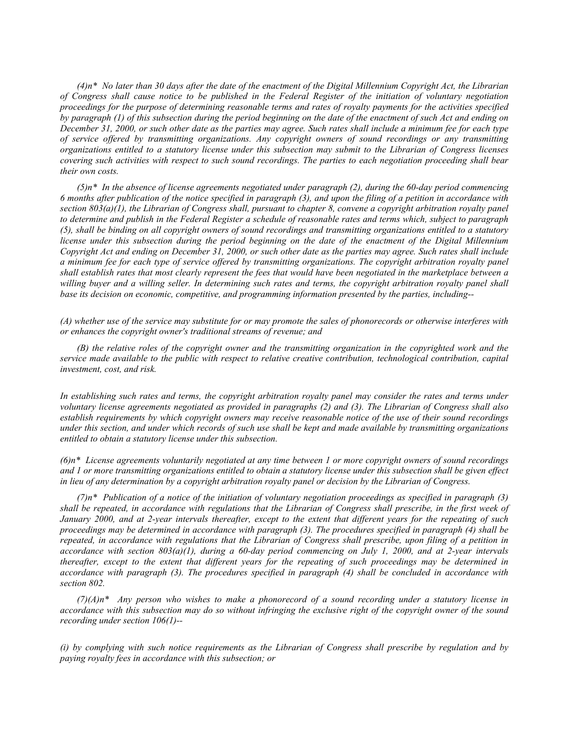*(4)n\* No later than 30 days after the date of the enactment of the Digital Millennium Copyright Act, the Librarian of Congress shall cause notice to be published in the Federal Register of the initiation of voluntary negotiation proceedings for the purpose of determining reasonable terms and rates of royalty payments for the activities specified by paragraph (1) of this subsection during the period beginning on the date of the enactment of such Act and ending on December 31, 2000, or such other date as the parties may agree. Such rates shall include a minimum fee for each type of service offered by transmitting organizations. Any copyright owners of sound recordings or any transmitting organizations entitled to a statutory license under this subsection may submit to the Librarian of Congress licenses covering such activities with respect to such sound recordings. The parties to each negotiation proceeding shall bear their own costs.*

*(5)n\* In the absence of license agreements negotiated under paragraph (2), during the 60-day period commencing 6 months after publication of the notice specified in paragraph (3), and upon the filing of a petition in accordance with section 803(a)(1), the Librarian of Congress shall, pursuant to chapter 8, convene a copyright arbitration royalty panel to determine and publish in the Federal Register a schedule of reasonable rates and terms which, subject to paragraph (5), shall be binding on all copyright owners of sound recordings and transmitting organizations entitled to a statutory license under this subsection during the period beginning on the date of the enactment of the Digital Millennium Copyright Act and ending on December 31, 2000, or such other date as the parties may agree. Such rates shall include a minimum fee for each type of service offered by transmitting organizations. The copyright arbitration royalty panel shall establish rates that most clearly represent the fees that would have been negotiated in the marketplace between a*  willing buyer and a willing seller. In determining such rates and terms, the copyright arbitration royalty panel shall *base its decision on economic, competitive, and programming information presented by the parties, including--*

*(A) whether use of the service may substitute for or may promote the sales of phonorecords or otherwise interferes with or enhances the copyright owner's traditional streams of revenue; and*

*(B) the relative roles of the copyright owner and the transmitting organization in the copyrighted work and the service made available to the public with respect to relative creative contribution, technological contribution, capital investment, cost, and risk.*

In establishing such rates and terms, the copyright arbitration royalty panel may consider the rates and terms under *voluntary license agreements negotiated as provided in paragraphs (2) and (3). The Librarian of Congress shall also establish requirements by which copyright owners may receive reasonable notice of the use of their sound recordings under this section, and under which records of such use shall be kept and made available by transmitting organizations entitled to obtain a statutory license under this subsection.*

*(6)n\* License agreements voluntarily negotiated at any time between 1 or more copyright owners of sound recordings and 1 or more transmitting organizations entitled to obtain a statutory license under this subsection shall be given effect in lieu of any determination by a copyright arbitration royalty panel or decision by the Librarian of Congress.*

*(7)n\* Publication of a notice of the initiation of voluntary negotiation proceedings as specified in paragraph (3) shall be repeated, in accordance with regulations that the Librarian of Congress shall prescribe, in the first week of January 2000, and at 2-year intervals thereafter, except to the extent that different years for the repeating of such proceedings may be determined in accordance with paragraph (3). The procedures specified in paragraph (4) shall be repeated, in accordance with regulations that the Librarian of Congress shall prescribe, upon filing of a petition in accordance with section 803(a)(1), during a 60-day period commencing on July 1, 2000, and at 2-year intervals*  thereafter, except to the extent that different years for the repeating of such proceedings may be determined in *accordance with paragraph (3). The procedures specified in paragraph (4) shall be concluded in accordance with section 802.*

*(7)(A)n\* Any person who wishes to make a phonorecord of a sound recording under a statutory license in accordance with this subsection may do so without infringing the exclusive right of the copyright owner of the sound recording under section 106(1)--*

*(i) by complying with such notice requirements as the Librarian of Congress shall prescribe by regulation and by paying royalty fees in accordance with this subsection; or*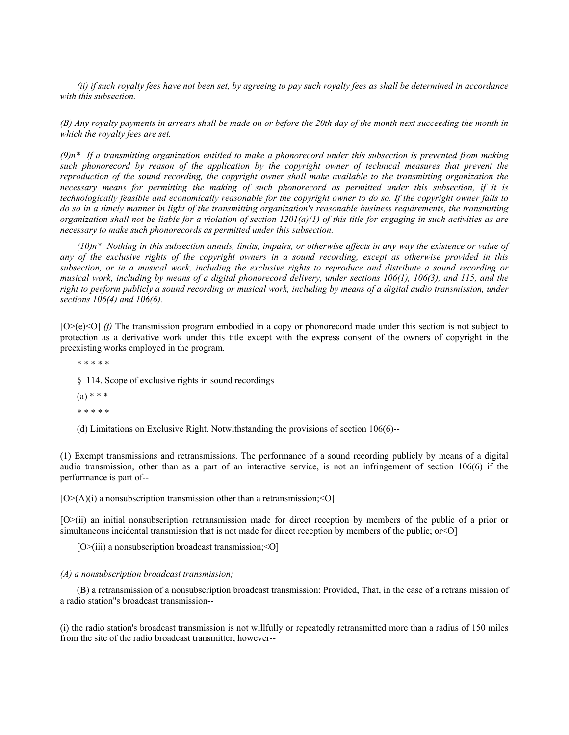*(ii) if such royalty fees have not been set, by agreeing to pay such royalty fees as shall be determined in accordance with this subsection.*

*(B) Any royalty payments in arrears shall be made on or before the 20th day of the month next succeeding the month in which the royalty fees are set.*

*(9)n\* If a transmitting organization entitled to make a phonorecord under this subsection is prevented from making such phonorecord by reason of the application by the copyright owner of technical measures that prevent the reproduction of the sound recording, the copyright owner shall make available to the transmitting organization the necessary means for permitting the making of such phonorecord as permitted under this subsection, if it is technologically feasible and economically reasonable for the copyright owner to do so. If the copyright owner fails to do so in a timely manner in light of the transmitting organization's reasonable business requirements, the transmitting organization shall not be liable for a violation of section 1201(a)(1) of this title for engaging in such activities as are necessary to make such phonorecords as permitted under this subsection.*

*(10)n\* Nothing in this subsection annuls, limits, impairs, or otherwise affects in any way the existence or value of any of the exclusive rights of the copyright owners in a sound recording, except as otherwise provided in this subsection, or in a musical work, including the exclusive rights to reproduce and distribute a sound recording or musical work, including by means of a digital phonorecord delivery, under sections 106(1), 106(3), and 115, and the right to perform publicly a sound recording or musical work, including by means of a digital audio transmission, under sections 106(4) and 106(6).*

[O>(e)<O]  $(f)$  The transmission program embodied in a copy or phonorecord made under this section is not subject to protection as a derivative work under this title except with the express consent of the owners of copyright in the preexisting works employed in the program.

\* \* \* \* \*

§ 114. Scope of exclusive rights in sound recordings

 $(a) * * *$ 

\* \* \* \* \*

(d) Limitations on Exclusive Right. Notwithstanding the provisions of section 106(6)--

(1) Exempt transmissions and retransmissions. The performance of a sound recording publicly by means of a digital audio transmission, other than as a part of an interactive service, is not an infringement of section 106(6) if the performance is part of--

 $[O>(A)(i)$  a nonsubscription transmission other than a retransmission; < O]

[O>(ii) an initial nonsubscription retransmission made for direct reception by members of the public of a prior or simultaneous incidental transmission that is not made for direct reception by members of the public; or < O]

 $[O>(iii)$  a nonsubscription broadcast transmission; < O]

### *(A) a nonsubscription broadcast transmission;*

(B) a retransmission of a nonsubscription broadcast transmission: Provided, That, in the case of a retrans mission of a radio station"s broadcast transmission--

(i) the radio station's broadcast transmission is not willfully or repeatedly retransmitted more than a radius of 150 miles from the site of the radio broadcast transmitter, however--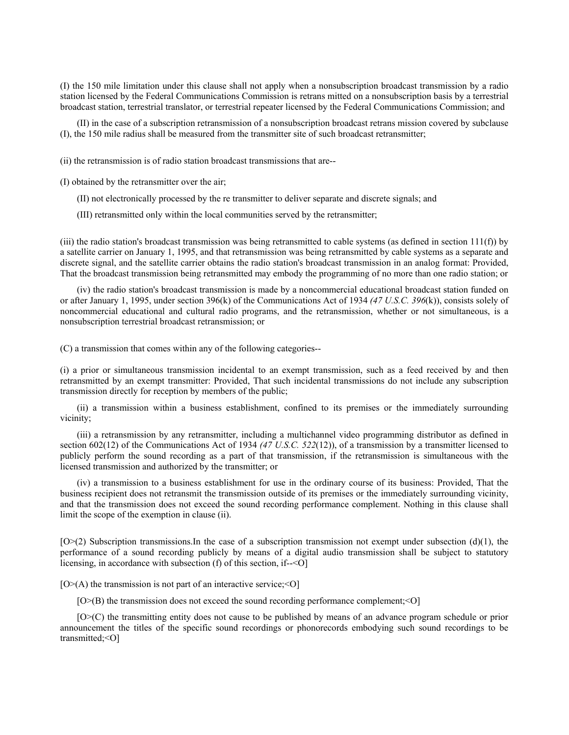(I) the 150 mile limitation under this clause shall not apply when a nonsubscription broadcast transmission by a radio station licensed by the Federal Communications Commission is retrans mitted on a nonsubscription basis by a terrestrial broadcast station, terrestrial translator, or terrestrial repeater licensed by the Federal Communications Commission; and

(II) in the case of a subscription retransmission of a nonsubscription broadcast retrans mission covered by subclause (I), the 150 mile radius shall be measured from the transmitter site of such broadcast retransmitter;

(ii) the retransmission is of radio station broadcast transmissions that are--

(I) obtained by the retransmitter over the air;

- (II) not electronically processed by the re transmitter to deliver separate and discrete signals; and
- (III) retransmitted only within the local communities served by the retransmitter;

(iii) the radio station's broadcast transmission was being retransmitted to cable systems (as defined in section  $111(f)$ ) by a satellite carrier on January 1, 1995, and that retransmission was being retransmitted by cable systems as a separate and discrete signal, and the satellite carrier obtains the radio station's broadcast transmission in an analog format: Provided, That the broadcast transmission being retransmitted may embody the programming of no more than one radio station; or

(iv) the radio station's broadcast transmission is made by a noncommercial educational broadcast station funded on or after January 1, 1995, under section 396(k) of the Communications Act of 1934 *(47 U.S.C. 396*(k)), consists solely of noncommercial educational and cultural radio programs, and the retransmission, whether or not simultaneous, is a nonsubscription terrestrial broadcast retransmission; or

(C) a transmission that comes within any of the following categories--

(i) a prior or simultaneous transmission incidental to an exempt transmission, such as a feed received by and then retransmitted by an exempt transmitter: Provided, That such incidental transmissions do not include any subscription transmission directly for reception by members of the public;

(ii) a transmission within a business establishment, confined to its premises or the immediately surrounding vicinity;

(iii) a retransmission by any retransmitter, including a multichannel video programming distributor as defined in section 602(12) of the Communications Act of 1934 *(47 U.S.C. 522*(12)), of a transmission by a transmitter licensed to publicly perform the sound recording as a part of that transmission, if the retransmission is simultaneous with the licensed transmission and authorized by the transmitter; or

(iv) a transmission to a business establishment for use in the ordinary course of its business: Provided, That the business recipient does not retransmit the transmission outside of its premises or the immediately surrounding vicinity, and that the transmission does not exceed the sound recording performance complement. Nothing in this clause shall limit the scope of the exemption in clause (ii).

 $[O>(2)$  Subscription transmissions. In the case of a subscription transmission not exempt under subsection (d)(1), the performance of a sound recording publicly by means of a digital audio transmission shall be subject to statutory licensing, in accordance with subsection (f) of this section, if--<0]

 $[O>(A)$  the transmission is not part of an interactive service; < O]

 $[O \geq (B)$  the transmission does not exceed the sound recording performance complement;  $\leq O$ 

[O>(C) the transmitting entity does not cause to be published by means of an advance program schedule or prior announcement the titles of the specific sound recordings or phonorecords embodying such sound recordings to be transmitted;<O]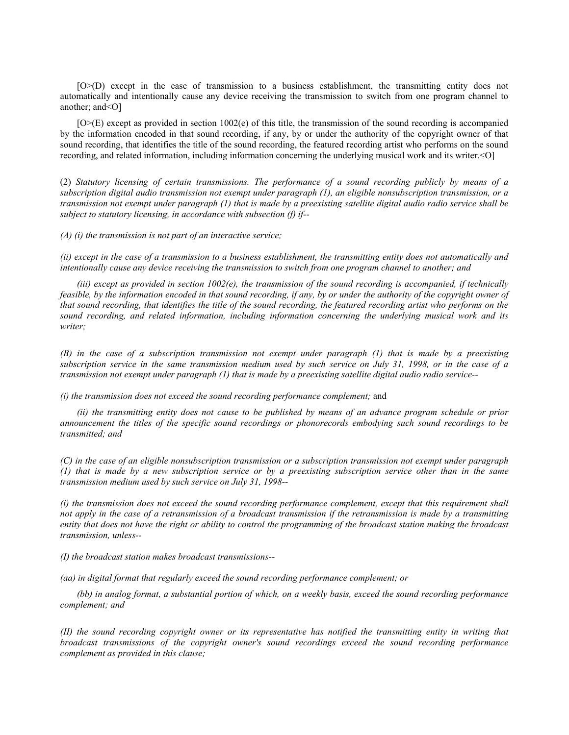[O>(D) except in the case of transmission to a business establishment, the transmitting entity does not automatically and intentionally cause any device receiving the transmission to switch from one program channel to another; and<O]

[O>(E) except as provided in section 1002(e) of this title, the transmission of the sound recording is accompanied by the information encoded in that sound recording, if any, by or under the authority of the copyright owner of that sound recording, that identifies the title of the sound recording, the featured recording artist who performs on the sound recording, and related information, including information concerning the underlying musical work and its writer.<O]

(2) *Statutory licensing of certain transmissions. The performance of a sound recording publicly by means of a subscription digital audio transmission not exempt under paragraph (1), an eligible nonsubscription transmission, or a transmission not exempt under paragraph (1) that is made by a preexisting satellite digital audio radio service shall be subject to statutory licensing, in accordance with subsection (f) if--*

*(A) (i) the transmission is not part of an interactive service;*

*(ii) except in the case of a transmission to a business establishment, the transmitting entity does not automatically and intentionally cause any device receiving the transmission to switch from one program channel to another; and*

*(iii) except as provided in section 1002(e), the transmission of the sound recording is accompanied, if technically feasible, by the information encoded in that sound recording, if any, by or under the authority of the copyright owner of that sound recording, that identifies the title of the sound recording, the featured recording artist who performs on the sound recording, and related information, including information concerning the underlying musical work and its writer;*

*(B) in the case of a subscription transmission not exempt under paragraph (1) that is made by a preexisting subscription service in the same transmission medium used by such service on July 31, 1998, or in the case of a transmission not exempt under paragraph (1) that is made by a preexisting satellite digital audio radio service--*

*(i) the transmission does not exceed the sound recording performance complement;* and

*(ii) the transmitting entity does not cause to be published by means of an advance program schedule or prior announcement the titles of the specific sound recordings or phonorecords embodying such sound recordings to be transmitted; and*

*(C) in the case of an eligible nonsubscription transmission or a subscription transmission not exempt under paragraph (1) that is made by a new subscription service or by a preexisting subscription service other than in the same transmission medium used by such service on July 31, 1998--*

*(i) the transmission does not exceed the sound recording performance complement, except that this requirement shall not apply in the case of a retransmission of a broadcast transmission if the retransmission is made by a transmitting entity that does not have the right or ability to control the programming of the broadcast station making the broadcast transmission, unless--*

*(I) the broadcast station makes broadcast transmissions--*

*(aa) in digital format that regularly exceed the sound recording performance complement; or*

*(bb) in analog format, a substantial portion of which, on a weekly basis, exceed the sound recording performance complement; and*

*(II) the sound recording copyright owner or its representative has notified the transmitting entity in writing that broadcast transmissions of the copyright owner's sound recordings exceed the sound recording performance complement as provided in this clause;*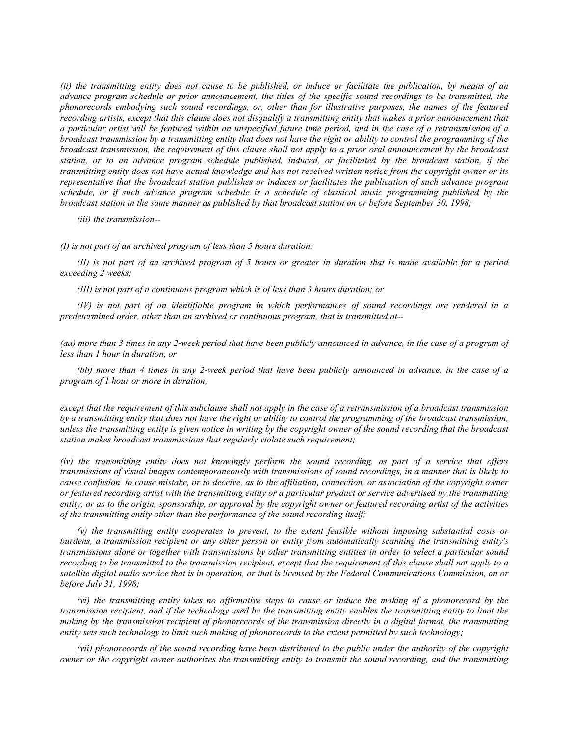*(ii) the transmitting entity does not cause to be published, or induce or facilitate the publication, by means of an advance program schedule or prior announcement, the titles of the specific sound recordings to be transmitted, the phonorecords embodying such sound recordings, or, other than for illustrative purposes, the names of the featured recording artists, except that this clause does not disqualify a transmitting entity that makes a prior announcement that a particular artist will be featured within an unspecified future time period, and in the case of a retransmission of a broadcast transmission by a transmitting entity that does not have the right or ability to control the programming of the broadcast transmission, the requirement of this clause shall not apply to a prior oral announcement by the broadcast station, or to an advance program schedule published, induced, or facilitated by the broadcast station, if the transmitting entity does not have actual knowledge and has not received written notice from the copyright owner or its representative that the broadcast station publishes or induces or facilitates the publication of such advance program schedule, or if such advance program schedule is a schedule of classical music programming published by the broadcast station in the same manner as published by that broadcast station on or before September 30, 1998;*

*(iii) the transmission--*

*(I) is not part of an archived program of less than 5 hours duration;*

*(II) is not part of an archived program of 5 hours or greater in duration that is made available for a period exceeding 2 weeks;*

*(III) is not part of a continuous program which is of less than 3 hours duration; or*

*(IV) is not part of an identifiable program in which performances of sound recordings are rendered in a predetermined order, other than an archived or continuous program, that is transmitted at--*

*(aa) more than 3 times in any 2-week period that have been publicly announced in advance, in the case of a program of less than 1 hour in duration, or*

*(bb) more than 4 times in any 2-week period that have been publicly announced in advance, in the case of a program of 1 hour or more in duration,*

*except that the requirement of this subclause shall not apply in the case of a retransmission of a broadcast transmission by a transmitting entity that does not have the right or ability to control the programming of the broadcast transmission, unless the transmitting entity is given notice in writing by the copyright owner of the sound recording that the broadcast station makes broadcast transmissions that regularly violate such requirement;*

*(iv) the transmitting entity does not knowingly perform the sound recording, as part of a service that offers transmissions of visual images contemporaneously with transmissions of sound recordings, in a manner that is likely to cause confusion, to cause mistake, or to deceive, as to the affiliation, connection, or association of the copyright owner or featured recording artist with the transmitting entity or a particular product or service advertised by the transmitting entity, or as to the origin, sponsorship, or approval by the copyright owner or featured recording artist of the activities of the transmitting entity other than the performance of the sound recording itself;*

*(v) the transmitting entity cooperates to prevent, to the extent feasible without imposing substantial costs or burdens, a transmission recipient or any other person or entity from automatically scanning the transmitting entity's transmissions alone or together with transmissions by other transmitting entities in order to select a particular sound recording to be transmitted to the transmission recipient, except that the requirement of this clause shall not apply to a satellite digital audio service that is in operation, or that is licensed by the Federal Communications Commission, on or before July 31, 1998;*

*(vi) the transmitting entity takes no affirmative steps to cause or induce the making of a phonorecord by the transmission recipient, and if the technology used by the transmitting entity enables the transmitting entity to limit the making by the transmission recipient of phonorecords of the transmission directly in a digital format, the transmitting entity sets such technology to limit such making of phonorecords to the extent permitted by such technology;*

*(vii) phonorecords of the sound recording have been distributed to the public under the authority of the copyright owner or the copyright owner authorizes the transmitting entity to transmit the sound recording, and the transmitting*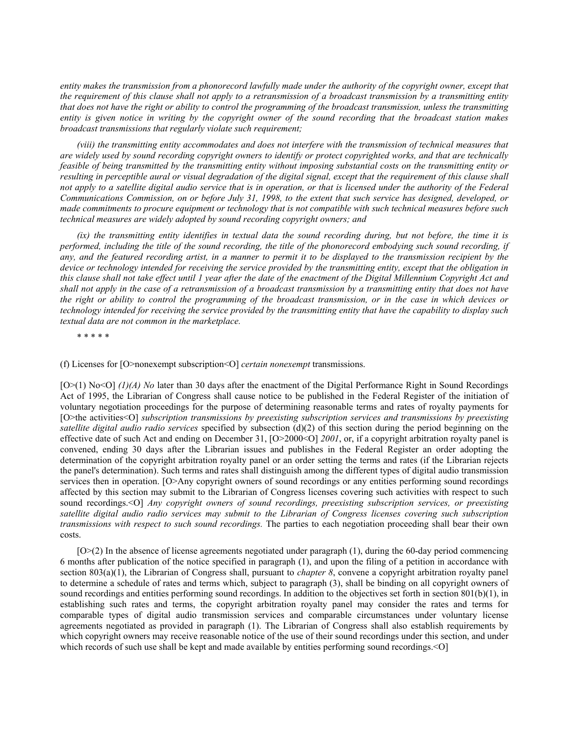*entity makes the transmission from a phonorecord lawfully made under the authority of the copyright owner, except that the requirement of this clause shall not apply to a retransmission of a broadcast transmission by a transmitting entity that does not have the right or ability to control the programming of the broadcast transmission, unless the transmitting entity is given notice in writing by the copyright owner of the sound recording that the broadcast station makes broadcast transmissions that regularly violate such requirement;*

*(viii) the transmitting entity accommodates and does not interfere with the transmission of technical measures that are widely used by sound recording copyright owners to identify or protect copyrighted works, and that are technically feasible of being transmitted by the transmitting entity without imposing substantial costs on the transmitting entity or resulting in perceptible aural or visual degradation of the digital signal, except that the requirement of this clause shall not apply to a satellite digital audio service that is in operation, or that is licensed under the authority of the Federal Communications Commission, on or before July 31, 1998, to the extent that such service has designed, developed, or made commitments to procure equipment or technology that is not compatible with such technical measures before such technical measures are widely adopted by sound recording copyright owners; and*

*(ix) the transmitting entity identifies in textual data the sound recording during, but not before, the time it is performed, including the title of the sound recording, the title of the phonorecord embodying such sound recording, if any, and the featured recording artist, in a manner to permit it to be displayed to the transmission recipient by the device or technology intended for receiving the service provided by the transmitting entity, except that the obligation in this clause shall not take effect until 1 year after the date of the enactment of the Digital Millennium Copyright Act and shall not apply in the case of a retransmission of a broadcast transmission by a transmitting entity that does not have the right or ability to control the programming of the broadcast transmission, or in the case in which devices or technology intended for receiving the service provided by the transmitting entity that have the capability to display such textual data are not common in the marketplace.*

\* \* \* \* \*

(f) Licenses for [O>nonexempt subscription<O] *certain nonexempt* transmissions.

[O>(1) No<O] *(1)(A) No* later than 30 days after the enactment of the Digital Performance Right in Sound Recordings Act of 1995, the Librarian of Congress shall cause notice to be published in the Federal Register of the initiation of voluntary negotiation proceedings for the purpose of determining reasonable terms and rates of royalty payments for [O>the activities<O] *subscription transmissions by preexisting subscription services and transmissions by preexisting satellite digital audio radio services* specified by subsection (d)(2) of this section during the period beginning on the effective date of such Act and ending on December 31, [O>2000<O] *2001*, or, if a copyright arbitration royalty panel is convened, ending 30 days after the Librarian issues and publishes in the Federal Register an order adopting the determination of the copyright arbitration royalty panel or an order setting the terms and rates (if the Librarian rejects the panel's determination). Such terms and rates shall distinguish among the different types of digital audio transmission services then in operation. [O>Any copyright owners of sound recordings or any entities performing sound recordings affected by this section may submit to the Librarian of Congress licenses covering such activities with respect to such sound recordings.<O] *Any copyright owners of sound recordings, preexisting subscription services, or preexisting satellite digital audio radio services may submit to the Librarian of Congress licenses covering such subscription transmissions with respect to such sound recordings.* The parties to each negotiation proceeding shall bear their own costs.

[O>(2) In the absence of license agreements negotiated under paragraph (1), during the 60-day period commencing 6 months after publication of the notice specified in paragraph (1), and upon the filing of a petition in accordance with section 803(a)(1), the Librarian of Congress shall, pursuant to *chapter 8*, convene a copyright arbitration royalty panel to determine a schedule of rates and terms which, subject to paragraph (3), shall be binding on all copyright owners of sound recordings and entities performing sound recordings. In addition to the objectives set forth in section 801(b)(1), in establishing such rates and terms, the copyright arbitration royalty panel may consider the rates and terms for comparable types of digital audio transmission services and comparable circumstances under voluntary license agreements negotiated as provided in paragraph (1). The Librarian of Congress shall also establish requirements by which copyright owners may receive reasonable notice of the use of their sound recordings under this section, and under which records of such use shall be kept and made available by entities performing sound recordings.  $\leq 0$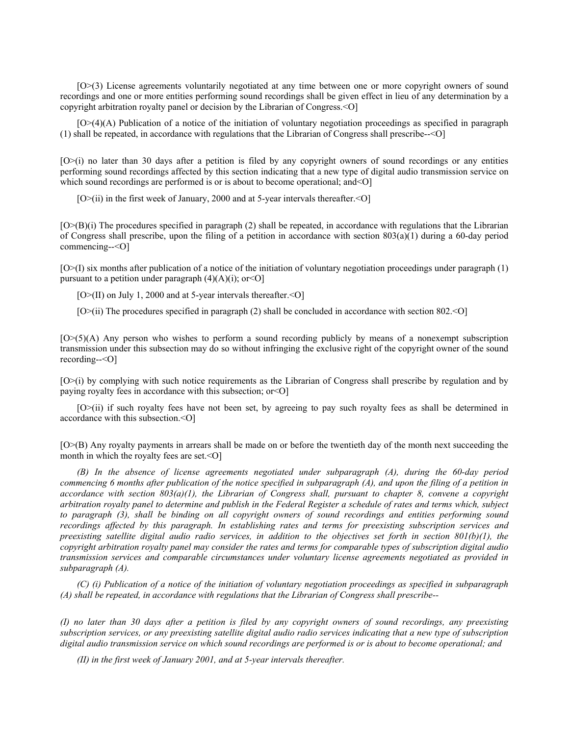[O>(3) License agreements voluntarily negotiated at any time between one or more copyright owners of sound recordings and one or more entities performing sound recordings shall be given effect in lieu of any determination by a copyright arbitration royalty panel or decision by the Librarian of Congress.<O]

 $[O>(4)]$ (A) Publication of a notice of the initiation of voluntary negotiation proceedings as specified in paragraph (1) shall be repeated, in accordance with regulations that the Librarian of Congress shall prescribe--<O]

 $[O>(i)]$  no later than 30 days after a petition is filed by any copyright owners of sound recordings or any entities performing sound recordings affected by this section indicating that a new type of digital audio transmission service on which sound recordings are performed is or is about to become operational; and < O]

 $[O>(ii)$  in the first week of January, 2000 and at 5-year intervals thereafter.  $\leq O$ 

 $[O>(B)(i)]$  The procedures specified in paragraph (2) shall be repeated, in accordance with regulations that the Librarian of Congress shall prescribe, upon the filing of a petition in accordance with section  $803(a)(1)$  during a 60-day period commencing--<O]

 $[O>(I)]$  six months after publication of a notice of the initiation of voluntary negotiation proceedings under paragraph  $(1)$ pursuant to a petition under paragraph  $(4)(A)(i)$ ; or  $\leq O$ ]

 $[O>(II)$  on July 1, 2000 and at 5-year intervals thereafter.  $\leq O$ 

[O>(ii) The procedures specified in paragraph (2) shall be concluded in accordance with section 802.<O]

 $[O>(5)(A)$  Any person who wishes to perform a sound recording publicly by means of a nonexempt subscription transmission under this subsection may do so without infringing the exclusive right of the copyright owner of the sound recording--<O]

[O>(i) by complying with such notice requirements as the Librarian of Congress shall prescribe by regulation and by paying royalty fees in accordance with this subsection; or<O]

[O>(ii) if such royalty fees have not been set, by agreeing to pay such royalty fees as shall be determined in accordance with this subsection.<O]

[O>(B) Any royalty payments in arrears shall be made on or before the twentieth day of the month next succeeding the month in which the royalty fees are set. < Ol

*(B) In the absence of license agreements negotiated under subparagraph (A), during the 60-day period commencing 6 months after publication of the notice specified in subparagraph (A), and upon the filing of a petition in accordance with section 803(a)(1), the Librarian of Congress shall, pursuant to chapter 8, convene a copyright arbitration royalty panel to determine and publish in the Federal Register a schedule of rates and terms which, subject*  to paragraph (3), shall be binding on all copyright owners of sound recordings and entities performing sound *recordings affected by this paragraph. In establishing rates and terms for preexisting subscription services and preexisting satellite digital audio radio services, in addition to the objectives set forth in section 801(b)(1), the copyright arbitration royalty panel may consider the rates and terms for comparable types of subscription digital audio transmission services and comparable circumstances under voluntary license agreements negotiated as provided in subparagraph (A).*

*(C) (i) Publication of a notice of the initiation of voluntary negotiation proceedings as specified in subparagraph (A) shall be repeated, in accordance with regulations that the Librarian of Congress shall prescribe--*

*(I) no later than 30 days after a petition is filed by any copyright owners of sound recordings, any preexisting subscription services, or any preexisting satellite digital audio radio services indicating that a new type of subscription digital audio transmission service on which sound recordings are performed is or is about to become operational; and*

*(II) in the first week of January 2001, and at 5-year intervals thereafter.*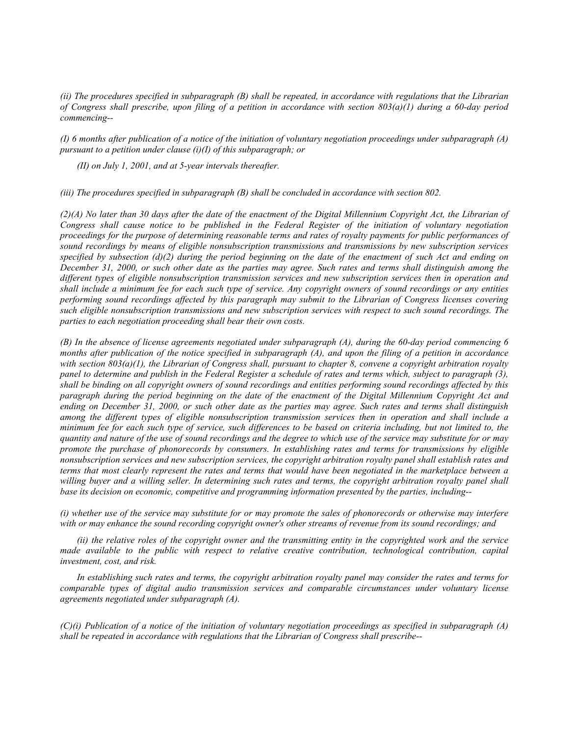*(ii) The procedures specified in subparagraph (B) shall be repeated, in accordance with regulations that the Librarian of Congress shall prescribe, upon filing of a petition in accordance with section 803(a)(1) during a 60-day period commencing--*

*(I) 6 months after publication of a notice of the initiation of voluntary negotiation proceedings under subparagraph (A) pursuant to a petition under clause (i)(I) of this subparagraph; or*

*(II) on July 1, 2001, and at 5-year intervals thereafter.*

*(iii) The procedures specified in subparagraph (B) shall be concluded in accordance with section 802.*

*(2)(A) No later than 30 days after the date of the enactment of the Digital Millennium Copyright Act, the Librarian of Congress shall cause notice to be published in the Federal Register of the initiation of voluntary negotiation proceedings for the purpose of determining reasonable terms and rates of royalty payments for public performances of sound recordings by means of eligible nonsubscription transmissions and transmissions by new subscription services specified by subsection (d)(2) during the period beginning on the date of the enactment of such Act and ending on December 31, 2000, or such other date as the parties may agree. Such rates and terms shall distinguish among the different types of eligible nonsubscription transmission services and new subscription services then in operation and shall include a minimum fee for each such type of service. Any copyright owners of sound recordings or any entities performing sound recordings affected by this paragraph may submit to the Librarian of Congress licenses covering such eligible nonsubscription transmissions and new subscription services with respect to such sound recordings. The parties to each negotiation proceeding shall bear their own costs.*

*(B) In the absence of license agreements negotiated under subparagraph (A), during the 60-day period commencing 6 months after publication of the notice specified in subparagraph (A), and upon the filing of a petition in accordance with section 803(a)(1), the Librarian of Congress shall, pursuant to chapter 8, convene a copyright arbitration royalty panel to determine and publish in the Federal Register a schedule of rates and terms which, subject to paragraph (3), shall be binding on all copyright owners of sound recordings and entities performing sound recordings affected by this paragraph during the period beginning on the date of the enactment of the Digital Millennium Copyright Act and ending on December 31, 2000, or such other date as the parties may agree. Such rates and terms shall distinguish among the different types of eligible nonsubscription transmission services then in operation and shall include a minimum fee for each such type of service, such differences to be based on criteria including, but not limited to, the quantity and nature of the use of sound recordings and the degree to which use of the service may substitute for or may promote the purchase of phonorecords by consumers. In establishing rates and terms for transmissions by eligible nonsubscription services and new subscription services, the copyright arbitration royalty panel shall establish rates and terms that most clearly represent the rates and terms that would have been negotiated in the marketplace between a* willing buyer and a willing seller. In determining such rates and terms, the copyright arbitration royalty panel shall *base its decision on economic, competitive and programming information presented by the parties, including--*

*(i) whether use of the service may substitute for or may promote the sales of phonorecords or otherwise may interfere with or may enhance the sound recording copyright owner's other streams of revenue from its sound recordings; and*

*(ii) the relative roles of the copyright owner and the transmitting entity in the copyrighted work and the service made available to the public with respect to relative creative contribution, technological contribution, capital investment, cost, and risk.*

*In establishing such rates and terms, the copyright arbitration royalty panel may consider the rates and terms for comparable types of digital audio transmission services and comparable circumstances under voluntary license agreements negotiated under subparagraph (A).*

*(C)(i) Publication of a notice of the initiation of voluntary negotiation proceedings as specified in subparagraph (A) shall be repeated in accordance with regulations that the Librarian of Congress shall prescribe--*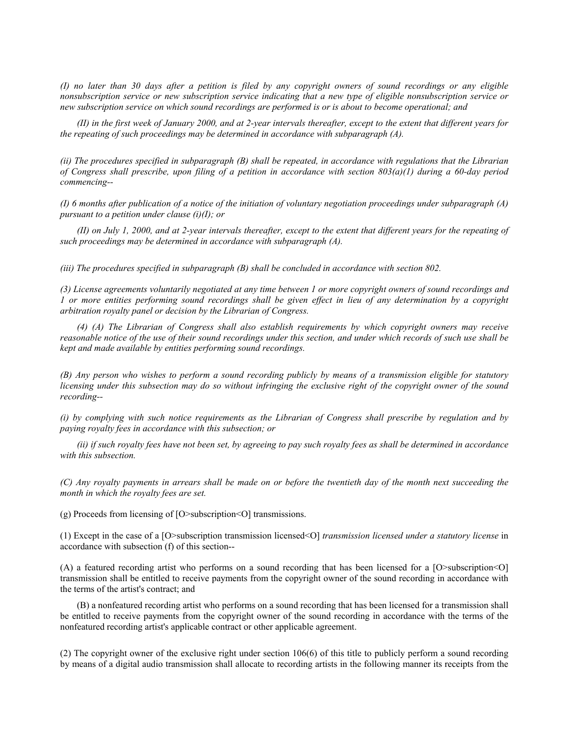*(I) no later than 30 days after a petition is filed by any copyright owners of sound recordings or any eligible nonsubscription service or new subscription service indicating that a new type of eligible nonsubscription service or new subscription service on which sound recordings are performed is or is about to become operational; and*

*(II) in the first week of January 2000, and at 2-year intervals thereafter, except to the extent that different years for the repeating of such proceedings may be determined in accordance with subparagraph (A).*

*(ii) The procedures specified in subparagraph (B) shall be repeated, in accordance with regulations that the Librarian of Congress shall prescribe, upon filing of a petition in accordance with section 803(a)(1) during a 60-day period commencing--*

*(I) 6 months after publication of a notice of the initiation of voluntary negotiation proceedings under subparagraph (A) pursuant to a petition under clause (i)(I); or*

*(II) on July 1, 2000, and at 2-year intervals thereafter, except to the extent that different years for the repeating of such proceedings may be determined in accordance with subparagraph (A).*

*(iii) The procedures specified in subparagraph (B) shall be concluded in accordance with section 802.*

*(3) License agreements voluntarily negotiated at any time between 1 or more copyright owners of sound recordings and 1 or more entities performing sound recordings shall be given effect in lieu of any determination by a copyright arbitration royalty panel or decision by the Librarian of Congress.*

*(4) (A) The Librarian of Congress shall also establish requirements by which copyright owners may receive reasonable notice of the use of their sound recordings under this section, and under which records of such use shall be kept and made available by entities performing sound recordings.*

*(B) Any person who wishes to perform a sound recording publicly by means of a transmission eligible for statutory licensing under this subsection may do so without infringing the exclusive right of the copyright owner of the sound recording--*

*(i) by complying with such notice requirements as the Librarian of Congress shall prescribe by regulation and by paying royalty fees in accordance with this subsection; or*

*(ii) if such royalty fees have not been set, by agreeing to pay such royalty fees as shall be determined in accordance with this subsection.*

*(C) Any royalty payments in arrears shall be made on or before the twentieth day of the month next succeeding the month in which the royalty fees are set.*

(g) Proceeds from licensing of  $[O \rightarrow subscripton of]$  transmissions.

(1) Except in the case of a [O>subscription transmission licensed<O] *transmission licensed under a statutory license* in accordance with subsection (f) of this section--

(A) a featured recording artist who performs on a sound recording that has been licensed for a [O>subscription<O] transmission shall be entitled to receive payments from the copyright owner of the sound recording in accordance with the terms of the artist's contract; and

(B) a nonfeatured recording artist who performs on a sound recording that has been licensed for a transmission shall be entitled to receive payments from the copyright owner of the sound recording in accordance with the terms of the nonfeatured recording artist's applicable contract or other applicable agreement.

(2) The copyright owner of the exclusive right under section 106(6) of this title to publicly perform a sound recording by means of a digital audio transmission shall allocate to recording artists in the following manner its receipts from the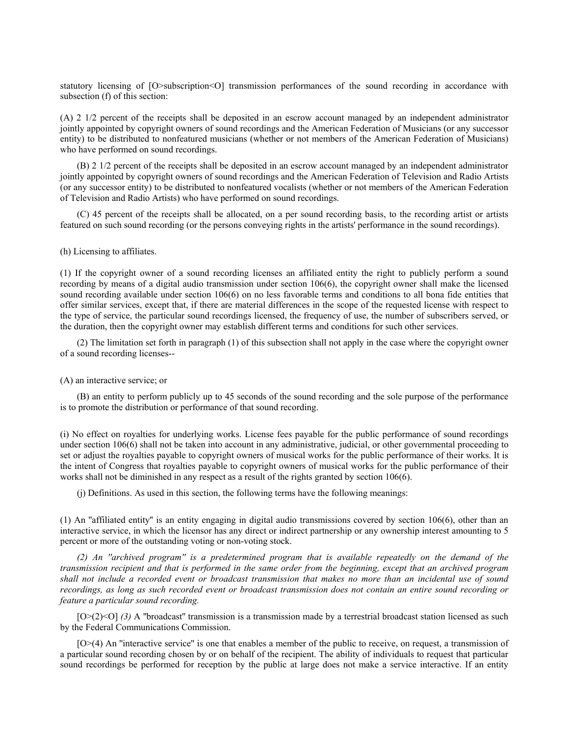statutory licensing of [O>subscription<O] transmission performances of the sound recording in accordance with subsection (f) of this section:

(A) 2 1/2 percent of the receipts shall be deposited in an escrow account managed by an independent administrator jointly appointed by copyright owners of sound recordings and the American Federation of Musicians (or any successor entity) to be distributed to nonfeatured musicians (whether or not members of the American Federation of Musicians) who have performed on sound recordings.

(B) 2 1/2 percent of the receipts shall be deposited in an escrow account managed by an independent administrator jointly appointed by copyright owners of sound recordings and the American Federation of Television and Radio Artists (or any successor entity) to be distributed to nonfeatured vocalists (whether or not members of the American Federation of Television and Radio Artists) who have performed on sound recordings.

(C) 45 percent of the receipts shall be allocated, on a per sound recording basis, to the recording artist or artists featured on such sound recording (or the persons conveying rights in the artists' performance in the sound recordings).

### (h) Licensing to affiliates.

(1) If the copyright owner of a sound recording licenses an affiliated entity the right to publicly perform a sound recording by means of a digital audio transmission under section 106(6), the copyright owner shall make the licensed sound recording available under section 106(6) on no less favorable terms and conditions to all bona fide entities that offer similar services, except that, if there are material differences in the scope of the requested license with respect to the type of service, the particular sound recordings licensed, the frequency of use, the number of subscribers served, or the duration, then the copyright owner may establish different terms and conditions for such other services.

(2) The limitation set forth in paragraph (1) of this subsection shall not apply in the case where the copyright owner of a sound recording licenses--

### (A) an interactive service; or

(B) an entity to perform publicly up to 45 seconds of the sound recording and the sole purpose of the performance is to promote the distribution or performance of that sound recording.

(i) No effect on royalties for underlying works. License fees payable for the public performance of sound recordings under section 106(6) shall not be taken into account in any administrative, judicial, or other governmental proceeding to set or adjust the royalties payable to copyright owners of musical works for the public performance of their works. It is the intent of Congress that royalties payable to copyright owners of musical works for the public performance of their works shall not be diminished in any respect as a result of the rights granted by section 106(6).

(j) Definitions. As used in this section, the following terms have the following meanings:

 $(1)$  An "affiliated entity" is an entity engaging in digital audio transmissions covered by section 106(6), other than an interactive service, in which the licensor has any direct or indirect partnership or any ownership interest amounting to 5 percent or more of the outstanding voting or non-voting stock.

*(2) An ''archived program'' is a predetermined program that is available repeatedly on the demand of the transmission recipient and that is performed in the same order from the beginning, except that an archived program shall not include a recorded event or broadcast transmission that makes no more than an incidental use of sound recordings, as long as such recorded event or broadcast transmission does not contain an entire sound recording or feature a particular sound recording.*

[O>(2)<O] *(3)* A ''broadcast'' transmission is a transmission made by a terrestrial broadcast station licensed as such by the Federal Communications Commission.

[O>(4) An ''interactive service'' is one that enables a member of the public to receive, on request, a transmission of a particular sound recording chosen by or on behalf of the recipient. The ability of individuals to request that particular sound recordings be performed for reception by the public at large does not make a service interactive. If an entity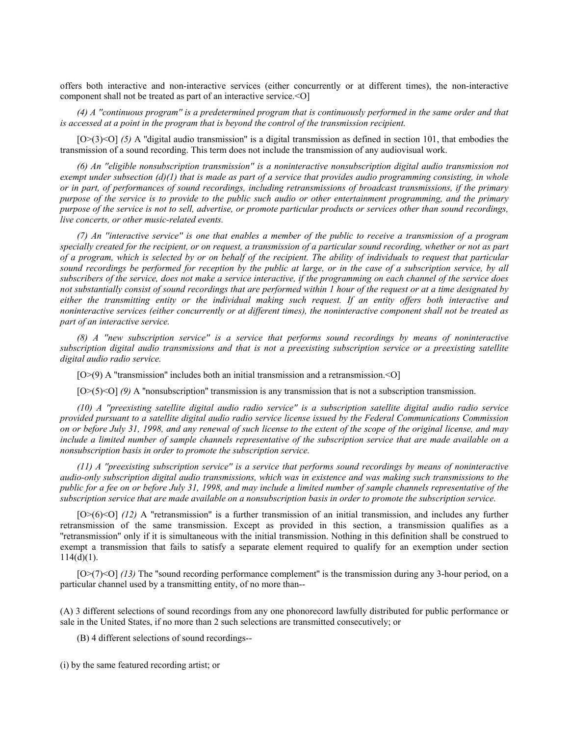offers both interactive and non-interactive services (either concurrently or at different times), the non-interactive component shall not be treated as part of an interactive service.<O]

*(4) A ''continuous program'' is a predetermined program that is continuously performed in the same order and that is accessed at a point in the program that is beyond the control of the transmission recipient.*

 $[O>(3) *(5)* A "digital audio transmission" is a digital transmission as defined in section 101, that embodies the$ transmission of a sound recording. This term does not include the transmission of any audiovisual work.

*(6) An ''eligible nonsubscription transmission'' is a noninteractive nonsubscription digital audio transmission not exempt under subsection (d)(1) that is made as part of a service that provides audio programming consisting, in whole or in part, of performances of sound recordings, including retransmissions of broadcast transmissions, if the primary purpose of the service is to provide to the public such audio or other entertainment programming, and the primary purpose of the service is not to sell, advertise, or promote particular products or services other than sound recordings, live concerts, or other music-related events.*

*(7) An ''interactive service'' is one that enables a member of the public to receive a transmission of a program specially created for the recipient, or on request, a transmission of a particular sound recording, whether or not as part of a program, which is selected by or on behalf of the recipient. The ability of individuals to request that particular sound recordings be performed for reception by the public at large, or in the case of a subscription service, by all subscribers of the service, does not make a service interactive, if the programming on each channel of the service does not substantially consist of sound recordings that are performed within 1 hour of the request or at a time designated by either the transmitting entity or the individual making such request. If an entity offers both interactive and noninteractive services (either concurrently or at different times), the noninteractive component shall not be treated as part of an interactive service.*

*(8) A ''new subscription service'' is a service that performs sound recordings by means of noninteractive subscription digital audio transmissions and that is not a preexisting subscription service or a preexisting satellite digital audio radio service.*

[O>(9) A ''transmission'' includes both an initial transmission and a retransmission.<O]

[O>(5)<O] (9) A "nonsubscription" transmission is any transmission that is not a subscription transmission.

*(10) A ''preexisting satellite digital audio radio service'' is a subscription satellite digital audio radio service provided pursuant to a satellite digital audio radio service license issued by the Federal Communications Commission on or before July 31, 1998, and any renewal of such license to the extent of the scope of the original license, and may*  include a limited number of sample channels representative of the subscription service that are made available on a *nonsubscription basis in order to promote the subscription service.*

*(11) A ''preexisting subscription service'' is a service that performs sound recordings by means of noninteractive audio-only subscription digital audio transmissions, which was in existence and was making such transmissions to the public for a fee on or before July 31, 1998, and may include a limited number of sample channels representative of the subscription service that are made available on a nonsubscription basis in order to promote the subscription service.*

[O>(6)<O] *(12)* A ''retransmission'' is a further transmission of an initial transmission, and includes any further retransmission of the same transmission. Except as provided in this section, a transmission qualifies as a ''retransmission'' only if it is simultaneous with the initial transmission. Nothing in this definition shall be construed to exempt a transmission that fails to satisfy a separate element required to qualify for an exemption under section  $114(d)(1)$ .

[O>(7)<O] (13) The "sound recording performance complement" is the transmission during any 3-hour period, on a particular channel used by a transmitting entity, of no more than--

(A) 3 different selections of sound recordings from any one phonorecord lawfully distributed for public performance or sale in the United States, if no more than 2 such selections are transmitted consecutively; or

(B) 4 different selections of sound recordings--

(i) by the same featured recording artist; or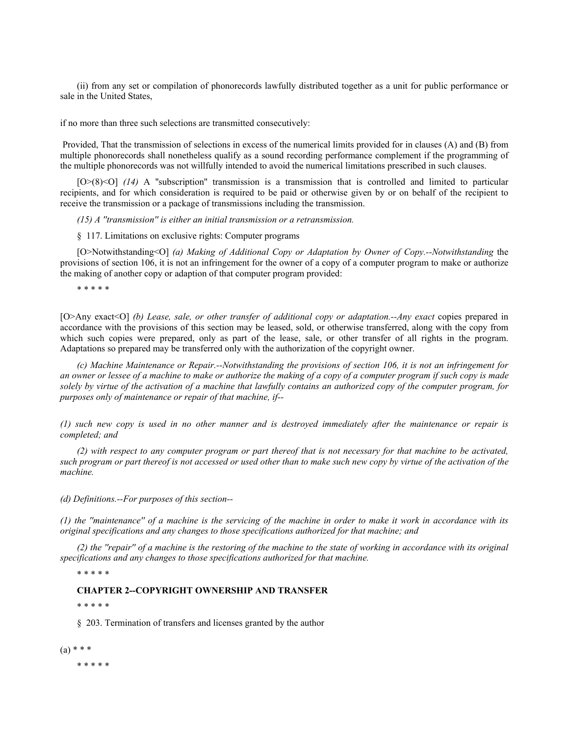(ii) from any set or compilation of phonorecords lawfully distributed together as a unit for public performance or sale in the United States,

if no more than three such selections are transmitted consecutively:

 Provided, That the transmission of selections in excess of the numerical limits provided for in clauses (A) and (B) from multiple phonorecords shall nonetheless qualify as a sound recording performance complement if the programming of the multiple phonorecords was not willfully intended to avoid the numerical limitations prescribed in such clauses.

 $[O>(8) \leq O]$  (14) A "subscription" transmission is a transmission that is controlled and limited to particular recipients, and for which consideration is required to be paid or otherwise given by or on behalf of the recipient to receive the transmission or a package of transmissions including the transmission.

*(15) A ''transmission'' is either an initial transmission or a retransmission.*

§ 117. Limitations on exclusive rights: Computer programs

[O>Notwithstanding<O] *(a) Making of Additional Copy or Adaptation by Owner of Copy.--Notwithstanding* the provisions of section 106, it is not an infringement for the owner of a copy of a computer program to make or authorize the making of another copy or adaption of that computer program provided:

\* \* \* \* \*

[O>Any exact<O] *(b) Lease, sale, or other transfer of additional copy or adaptation.--Any exact* copies prepared in accordance with the provisions of this section may be leased, sold, or otherwise transferred, along with the copy from which such copies were prepared, only as part of the lease, sale, or other transfer of all rights in the program. Adaptations so prepared may be transferred only with the authorization of the copyright owner.

*(c) Machine Maintenance or Repair.--Notwithstanding the provisions of section 106, it is not an infringement for an owner or lessee of a machine to make or authorize the making of a copy of a computer program if such copy is made solely by virtue of the activation of a machine that lawfully contains an authorized copy of the computer program, for purposes only of maintenance or repair of that machine, if--*

*(1) such new copy is used in no other manner and is destroyed immediately after the maintenance or repair is completed; and*

*(2) with respect to any computer program or part thereof that is not necessary for that machine to be activated, such program or part thereof is not accessed or used other than to make such new copy by virtue of the activation of the machine.*

*(d) Definitions.--For purposes of this section--*

*(1) the ''maintenance'' of a machine is the servicing of the machine in order to make it work in accordance with its original specifications and any changes to those specifications authorized for that machine; and*

*(2) the ''repair'' of a machine is the restoring of the machine to the state of working in accordance with its original specifications and any changes to those specifications authorized for that machine.*

\* \* \* \* \*

### **CHAPTER 2--COPYRIGHT OWNERSHIP AND TRANSFER**

\* \* \* \* \*

§ 203. Termination of transfers and licenses granted by the author

 $(a) * * * *$ 

\* \* \* \* \*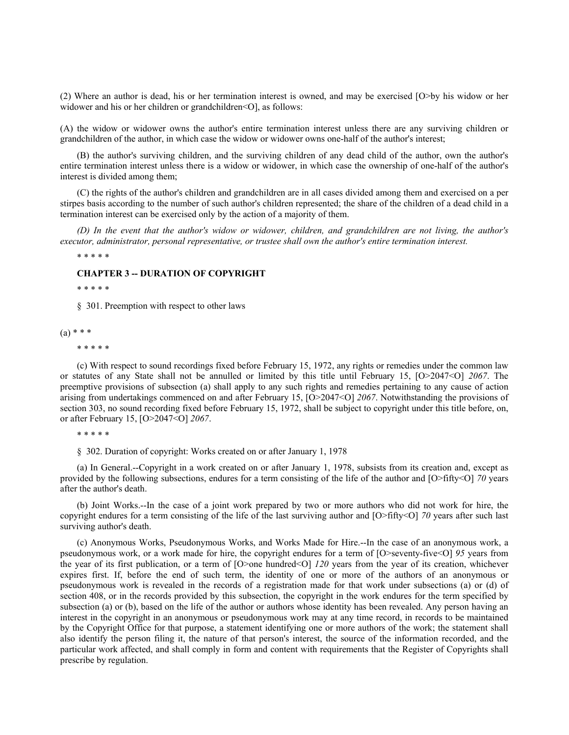(2) Where an author is dead, his or her termination interest is owned, and may be exercised [O>by his widow or her widower and his or her children or grandchildren<Ol, as follows:

(A) the widow or widower owns the author's entire termination interest unless there are any surviving children or grandchildren of the author, in which case the widow or widower owns one-half of the author's interest;

(B) the author's surviving children, and the surviving children of any dead child of the author, own the author's entire termination interest unless there is a widow or widower, in which case the ownership of one-half of the author's interest is divided among them;

(C) the rights of the author's children and grandchildren are in all cases divided among them and exercised on a per stirpes basis according to the number of such author's children represented; the share of the children of a dead child in a termination interest can be exercised only by the action of a majority of them.

*(D) In the event that the author's widow or widower, children, and grandchildren are not living, the author's executor, administrator, personal representative, or trustee shall own the author's entire termination interest.*

\* \* \* \* \*

## **CHAPTER 3 -- DURATION OF COPYRIGHT**

\* \* \* \* \*

§ 301. Preemption with respect to other laws

 $(a) * * *$ 

\* \* \* \* \*

(c) With respect to sound recordings fixed before February 15, 1972, any rights or remedies under the common law or statutes of any State shall not be annulled or limited by this title until February 15, [O>2047<O] *2067*. The preemptive provisions of subsection (a) shall apply to any such rights and remedies pertaining to any cause of action arising from undertakings commenced on and after February 15, [O>2047<O] *2067*. Notwithstanding the provisions of section 303, no sound recording fixed before February 15, 1972, shall be subject to copyright under this title before, on, or after February 15, [O>2047<O] *2067*.

\* \* \* \* \*

§ 302. Duration of copyright: Works created on or after January 1, 1978

(a) In General.--Copyright in a work created on or after January 1, 1978, subsists from its creation and, except as provided by the following subsections, endures for a term consisting of the life of the author and [O>fifty<O] *70* years after the author's death.

(b) Joint Works.--In the case of a joint work prepared by two or more authors who did not work for hire, the copyright endures for a term consisting of the life of the last surviving author and [O>fifty<O] *70* years after such last surviving author's death.

(c) Anonymous Works, Pseudonymous Works, and Works Made for Hire.--In the case of an anonymous work, a pseudonymous work, or a work made for hire, the copyright endures for a term of [O>seventy-five<O] *95* years from the year of its first publication, or a term of [O>one hundred<O] *120* years from the year of its creation, whichever expires first. If, before the end of such term, the identity of one or more of the authors of an anonymous or pseudonymous work is revealed in the records of a registration made for that work under subsections (a) or (d) of section 408, or in the records provided by this subsection, the copyright in the work endures for the term specified by subsection (a) or (b), based on the life of the author or authors whose identity has been revealed. Any person having an interest in the copyright in an anonymous or pseudonymous work may at any time record, in records to be maintained by the Copyright Office for that purpose, a statement identifying one or more authors of the work; the statement shall also identify the person filing it, the nature of that person's interest, the source of the information recorded, and the particular work affected, and shall comply in form and content with requirements that the Register of Copyrights shall prescribe by regulation.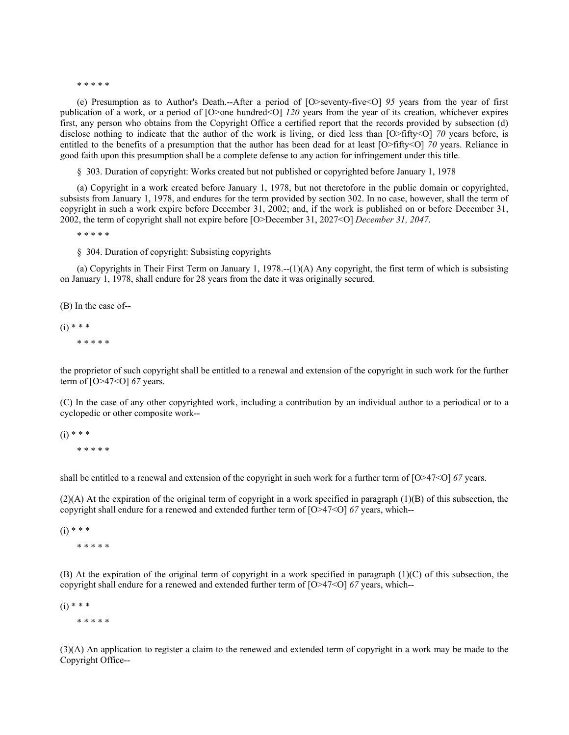\* \* \* \* \*

(e) Presumption as to Author's Death.--After a period of [O>seventy-five<O] *95* years from the year of first publication of a work, or a period of [O>one hundred<O] *120* years from the year of its creation, whichever expires first, any person who obtains from the Copyright Office a certified report that the records provided by subsection (d) disclose nothing to indicate that the author of the work is living, or died less than [O>fifty<O] *70* years before, is entitled to the benefits of a presumption that the author has been dead for at least [O>fifty<O] *70* years. Reliance in good faith upon this presumption shall be a complete defense to any action for infringement under this title.

§ 303. Duration of copyright: Works created but not published or copyrighted before January 1, 1978

(a) Copyright in a work created before January 1, 1978, but not theretofore in the public domain or copyrighted, subsists from January 1, 1978, and endures for the term provided by section 302. In no case, however, shall the term of copyright in such a work expire before December 31, 2002; and, if the work is published on or before December 31, 2002, the term of copyright shall not expire before [O>December 31, 2027<O] *December 31, 2047*.

\* \* \* \* \*

§ 304. Duration of copyright: Subsisting copyrights

(a) Copyrights in Their First Term on January 1, 1978.-- $(1)(A)$  Any copyright, the first term of which is subsisting on January 1, 1978, shall endure for 28 years from the date it was originally secured.

(B) In the case of--

 $(i) * * *$ \* \* \* \* \*

the proprietor of such copyright shall be entitled to a renewal and extension of the copyright in such work for the further term of [O>47<O] *67* years.

(C) In the case of any other copyrighted work, including a contribution by an individual author to a periodical or to a cyclopedic or other composite work--

 $(i) * * *$ \* \* \* \* \*

shall be entitled to a renewal and extension of the copyright in such work for a further term of [O>47<O] *67* years.

 $(2)$ (A) At the expiration of the original term of copyright in a work specified in paragraph  $(1)$ (B) of this subsection, the copyright shall endure for a renewed and extended further term of [O>47<O] *67* years, which--

 $(i) * * *$ \* \* \* \* \*

(B) At the expiration of the original term of copyright in a work specified in paragraph  $(1)(C)$  of this subsection, the copyright shall endure for a renewed and extended further term of [O>47<O] *67* years, which--

 $(i) * * *$ 

\* \* \* \* \*

(3)(A) An application to register a claim to the renewed and extended term of copyright in a work may be made to the Copyright Office--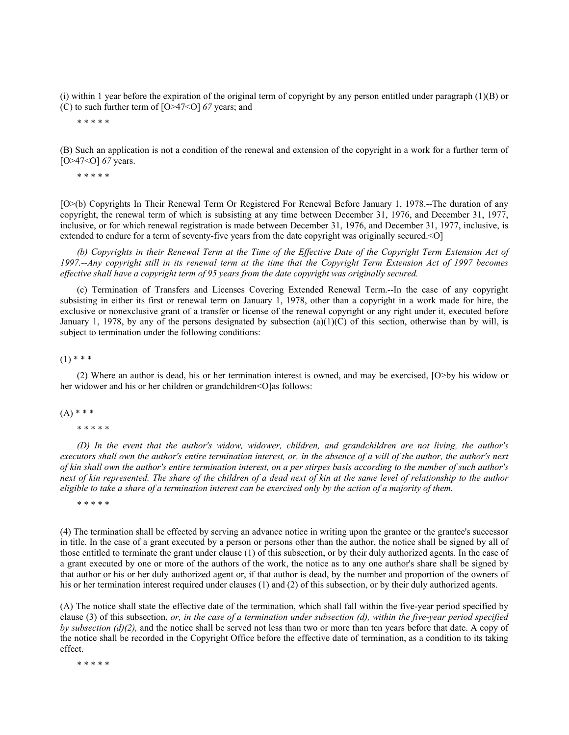(i) within 1 year before the expiration of the original term of copyright by any person entitled under paragraph (1)(B) or (C) to such further term of [O>47<O] *67* years; and

\* \* \* \* \*

(B) Such an application is not a condition of the renewal and extension of the copyright in a work for a further term of [O>47<O] *67* years.

\* \* \* \* \*

[O>(b) Copyrights In Their Renewal Term Or Registered For Renewal Before January 1, 1978.--The duration of any copyright, the renewal term of which is subsisting at any time between December 31, 1976, and December 31, 1977, inclusive, or for which renewal registration is made between December 31, 1976, and December 31, 1977, inclusive, is extended to endure for a term of seventy-five years from the date copyright was originally secured.<O]

*(b) Copyrights in their Renewal Term at the Time of the Effective Date of the Copyright Term Extension Act of*  1997.--Any copyright still in its renewal term at the time that the Copyright Term Extension Act of 1997 becomes *effective shall have a copyright term of 95 years from the date copyright was originally secured.*

(c) Termination of Transfers and Licenses Covering Extended Renewal Term.--In the case of any copyright subsisting in either its first or renewal term on January 1, 1978, other than a copyright in a work made for hire, the exclusive or nonexclusive grant of a transfer or license of the renewal copyright or any right under it, executed before January 1, 1978, by any of the persons designated by subsection  $(a)(1)(C)$  of this section, otherwise than by will, is subject to termination under the following conditions:

 $(1)$  \* \* \*

(2) Where an author is dead, his or her termination interest is owned, and may be exercised, [O>by his widow or her widower and his or her children or grandchildren<O]as follows:

# $(A)$  \* \* \*

\* \* \* \* \*

*(D) In the event that the author's widow, widower, children, and grandchildren are not living, the author's executors shall own the author's entire termination interest, or, in the absence of a will of the author, the author's next of kin shall own the author's entire termination interest, on a per stirpes basis according to the number of such author's next of kin represented. The share of the children of a dead next of kin at the same level of relationship to the author eligible to take a share of a termination interest can be exercised only by the action of a majority of them.*

\* \* \* \* \*

(4) The termination shall be effected by serving an advance notice in writing upon the grantee or the grantee's successor in title. In the case of a grant executed by a person or persons other than the author, the notice shall be signed by all of those entitled to terminate the grant under clause (1) of this subsection, or by their duly authorized agents. In the case of a grant executed by one or more of the authors of the work, the notice as to any one author's share shall be signed by that author or his or her duly authorized agent or, if that author is dead, by the number and proportion of the owners of his or her termination interest required under clauses (1) and (2) of this subsection, or by their duly authorized agents.

(A) The notice shall state the effective date of the termination, which shall fall within the five-year period specified by clause (3) of this subsection, *or, in the case of a termination under subsection (d), within the five-year period specified by subsection (d)(2),* and the notice shall be served not less than two or more than ten years before that date. A copy of the notice shall be recorded in the Copyright Office before the effective date of termination, as a condition to its taking effect.

\* \* \* \* \*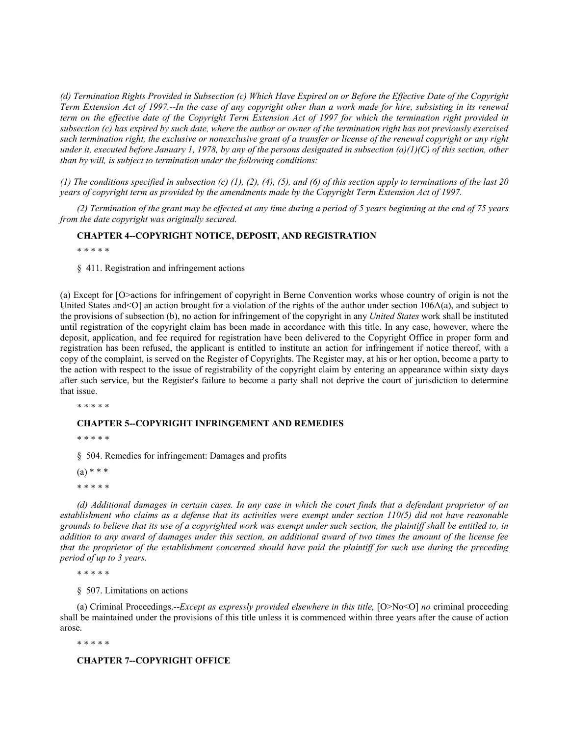*(d) Termination Rights Provided in Subsection (c) Which Have Expired on or Before the Effective Date of the Copyright Term Extension Act of 1997.--In the case of any copyright other than a work made for hire, subsisting in its renewal*  term on the effective date of the Copyright Term Extension Act of 1997 for which the termination right provided in *subsection (c) has expired by such date, where the author or owner of the termination right has not previously exercised such termination right, the exclusive or nonexclusive grant of a transfer or license of the renewal copyright or any right under it, executed before January 1, 1978, by any of the persons designated in subsection (a)(1)(C) of this section, other than by will, is subject to termination under the following conditions:*

*(1) The conditions specified in subsection (c) (1), (2), (4), (5), and (6) of this section apply to terminations of the last 20 years of copyright term as provided by the amendments made by the Copyright Term Extension Act of 1997.*

*(2) Termination of the grant may be effected at any time during a period of 5 years beginning at the end of 75 years from the date copyright was originally secured.*

## **CHAPTER 4--COPYRIGHT NOTICE, DEPOSIT, AND REGISTRATION**

\* \* \* \* \*

§ 411. Registration and infringement actions

(a) Except for [O>actions for infringement of copyright in Berne Convention works whose country of origin is not the United States and<O] an action brought for a violation of the rights of the author under section  $106A(a)$ , and subject to the provisions of subsection (b), no action for infringement of the copyright in any *United States* work shall be instituted until registration of the copyright claim has been made in accordance with this title. In any case, however, where the deposit, application, and fee required for registration have been delivered to the Copyright Office in proper form and registration has been refused, the applicant is entitled to institute an action for infringement if notice thereof, with a copy of the complaint, is served on the Register of Copyrights. The Register may, at his or her option, become a party to the action with respect to the issue of registrability of the copyright claim by entering an appearance within sixty days after such service, but the Register's failure to become a party shall not deprive the court of jurisdiction to determine that issue.

\* \* \* \* \*

### **CHAPTER 5--COPYRIGHT INFRINGEMENT AND REMEDIES**

\* \* \* \* \*

§ 504. Remedies for infringement: Damages and profits

 $(a) * * *$ 

\* \* \* \* \*

*(d) Additional damages in certain cases. In any case in which the court finds that a defendant proprietor of an establishment who claims as a defense that its activities were exempt under section 110(5) did not have reasonable grounds to believe that its use of a copyrighted work was exempt under such section, the plaintiff shall be entitled to, in addition to any award of damages under this section, an additional award of two times the amount of the license fee that the proprietor of the establishment concerned should have paid the plaintiff for such use during the preceding period of up to 3 years.*

\* \* \* \* \*

§ 507. Limitations on actions

(a) Criminal Proceedings.--*Except as expressly provided elsewhere in this title,* [O>No<O] *no* criminal proceeding shall be maintained under the provisions of this title unless it is commenced within three years after the cause of action arose.

\* \* \* \* \*

## **CHAPTER 7--COPYRIGHT OFFICE**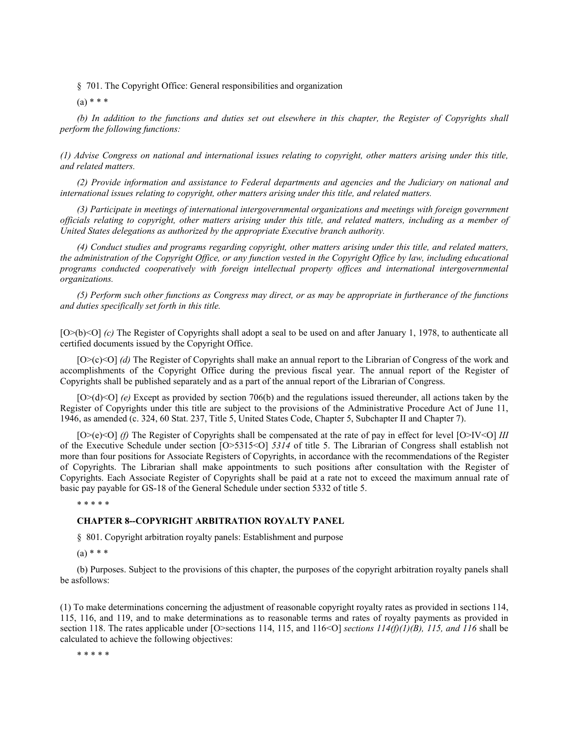§ 701. The Copyright Office: General responsibilities and organization

### $(a) * * *$

*(b) In addition to the functions and duties set out elsewhere in this chapter, the Register of Copyrights shall perform the following functions:*

*(1) Advise Congress on national and international issues relating to copyright, other matters arising under this title, and related matters.*

*(2) Provide information and assistance to Federal departments and agencies and the Judiciary on national and international issues relating to copyright, other matters arising under this title, and related matters.*

*(3) Participate in meetings of international intergovernmental organizations and meetings with foreign government officials relating to copyright, other matters arising under this title, and related matters, including as a member of United States delegations as authorized by the appropriate Executive branch authority.*

*(4) Conduct studies and programs regarding copyright, other matters arising under this title, and related matters, the administration of the Copyright Office, or any function vested in the Copyright Office by law, including educational programs conducted cooperatively with foreign intellectual property offices and international intergovernmental organizations.*

*(5) Perform such other functions as Congress may direct, or as may be appropriate in furtherance of the functions and duties specifically set forth in this title.*

[O>(b)<O] *(c)* The Register of Copyrights shall adopt a seal to be used on and after January 1, 1978, to authenticate all certified documents issued by the Copyright Office.

[O>(c)<O] *(d)* The Register of Copyrights shall make an annual report to the Librarian of Congress of the work and accomplishments of the Copyright Office during the previous fiscal year. The annual report of the Register of Copyrights shall be published separately and as a part of the annual report of the Librarian of Congress.

 $[O>(d)$ <O] *(e)* Except as provided by section 706(b) and the regulations issued thereunder, all actions taken by the Register of Copyrights under this title are subject to the provisions of the Administrative Procedure Act of June 11, 1946, as amended (c. 324, 60 Stat. 237, Title 5, United States Code, Chapter 5, Subchapter II and Chapter 7).

[O>(e)<O] *(f)* The Register of Copyrights shall be compensated at the rate of pay in effect for level [O>IV<O] *III* of the Executive Schedule under section [O>5315<O] *5314* of title 5. The Librarian of Congress shall establish not more than four positions for Associate Registers of Copyrights, in accordance with the recommendations of the Register of Copyrights. The Librarian shall make appointments to such positions after consultation with the Register of Copyrights. Each Associate Register of Copyrights shall be paid at a rate not to exceed the maximum annual rate of basic pay payable for GS-18 of the General Schedule under section 5332 of title 5.

\* \* \* \* \*

# **CHAPTER 8--COPYRIGHT ARBITRATION ROYALTY PANEL**

§ 801. Copyright arbitration royalty panels: Establishment and purpose

 $(a) * * *$ 

(b) Purposes. Subject to the provisions of this chapter, the purposes of the copyright arbitration royalty panels shall be asfollows:

(1) To make determinations concerning the adjustment of reasonable copyright royalty rates as provided in sections 114, 115, 116, and 119, and to make determinations as to reasonable terms and rates of royalty payments as provided in section 118. The rates applicable under  $[O >$ sections 114, 115, and 116<0] *sections 114(f)(1)(B), 115, and 116* shall be calculated to achieve the following objectives:

\* \* \* \* \*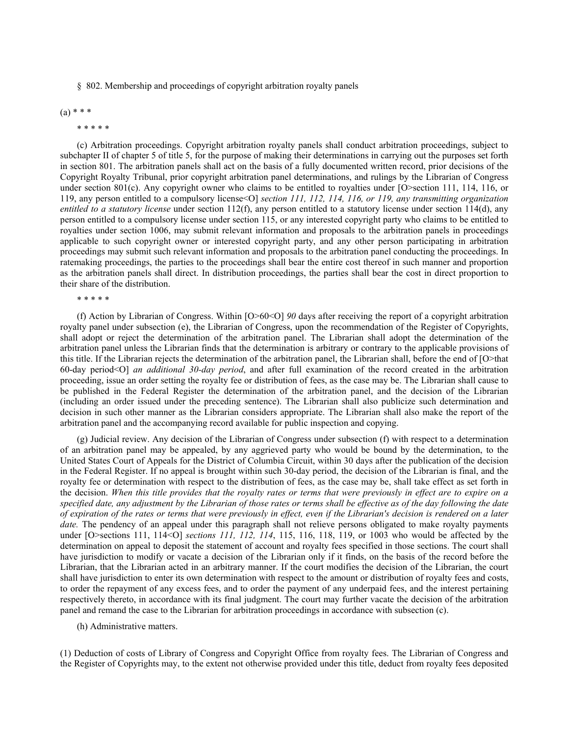#### § 802. Membership and proceedings of copyright arbitration royalty panels

 $(a) * * *$ 

\* \* \* \* \*

(c) Arbitration proceedings. Copyright arbitration royalty panels shall conduct arbitration proceedings, subject to subchapter II of chapter 5 of title 5, for the purpose of making their determinations in carrying out the purposes set forth in section 801. The arbitration panels shall act on the basis of a fully documented written record, prior decisions of the Copyright Royalty Tribunal, prior copyright arbitration panel determinations, and rulings by the Librarian of Congress under section 801(c). Any copyright owner who claims to be entitled to royalties under [O>section 111, 114, 116, or 119, any person entitled to a compulsory license<O] *section 111, 112, 114, 116, or 119, any transmitting organization entitled to a statutory license* under section 112(f), any person entitled to a statutory license under section 114(d), any person entitled to a compulsory license under section 115, or any interested copyright party who claims to be entitled to royalties under section 1006, may submit relevant information and proposals to the arbitration panels in proceedings applicable to such copyright owner or interested copyright party, and any other person participating in arbitration proceedings may submit such relevant information and proposals to the arbitration panel conducting the proceedings. In ratemaking proceedings, the parties to the proceedings shall bear the entire cost thereof in such manner and proportion as the arbitration panels shall direct. In distribution proceedings, the parties shall bear the cost in direct proportion to their share of the distribution.

\* \* \* \* \*

(f) Action by Librarian of Congress. Within [O>60<O] *90* days after receiving the report of a copyright arbitration royalty panel under subsection (e), the Librarian of Congress, upon the recommendation of the Register of Copyrights, shall adopt or reject the determination of the arbitration panel. The Librarian shall adopt the determination of the arbitration panel unless the Librarian finds that the determination is arbitrary or contrary to the applicable provisions of this title. If the Librarian rejects the determination of the arbitration panel, the Librarian shall, before the end of [O>that 60-day period<O] *an additional 30-day period*, and after full examination of the record created in the arbitration proceeding, issue an order setting the royalty fee or distribution of fees, as the case may be. The Librarian shall cause to be published in the Federal Register the determination of the arbitration panel, and the decision of the Librarian (including an order issued under the preceding sentence). The Librarian shall also publicize such determination and decision in such other manner as the Librarian considers appropriate. The Librarian shall also make the report of the arbitration panel and the accompanying record available for public inspection and copying.

(g) Judicial review. Any decision of the Librarian of Congress under subsection (f) with respect to a determination of an arbitration panel may be appealed, by any aggrieved party who would be bound by the determination, to the United States Court of Appeals for the District of Columbia Circuit, within 30 days after the publication of the decision in the Federal Register. If no appeal is brought within such 30-day period, the decision of the Librarian is final, and the royalty fee or determination with respect to the distribution of fees, as the case may be, shall take effect as set forth in the decision. *When this title provides that the royalty rates or terms that were previously in effect are to expire on a specified date, any adjustment by the Librarian of those rates or terms shall be effective as of the day following the date of expiration of the rates or terms that were previously in effect, even if the Librarian's decision is rendered on a later date.* The pendency of an appeal under this paragraph shall not relieve persons obligated to make royalty payments under [O>sections 111, 114<O] *sections 111, 112, 114*, 115, 116, 118, 119, or 1003 who would be affected by the determination on appeal to deposit the statement of account and royalty fees specified in those sections. The court shall have jurisdiction to modify or vacate a decision of the Librarian only if it finds, on the basis of the record before the Librarian, that the Librarian acted in an arbitrary manner. If the court modifies the decision of the Librarian, the court shall have jurisdiction to enter its own determination with respect to the amount or distribution of royalty fees and costs, to order the repayment of any excess fees, and to order the payment of any underpaid fees, and the interest pertaining respectively thereto, in accordance with its final judgment. The court may further vacate the decision of the arbitration panel and remand the case to the Librarian for arbitration proceedings in accordance with subsection (c).

(h) Administrative matters.

(1) Deduction of costs of Library of Congress and Copyright Office from royalty fees. The Librarian of Congress and the Register of Copyrights may, to the extent not otherwise provided under this title, deduct from royalty fees deposited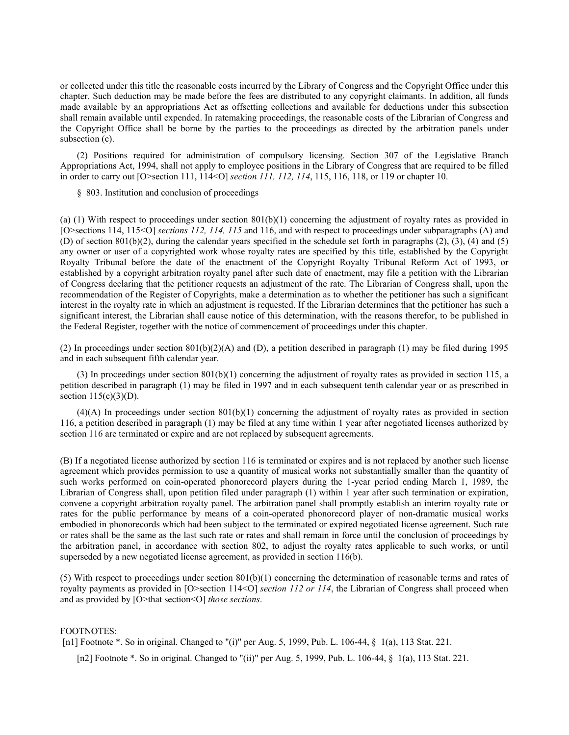or collected under this title the reasonable costs incurred by the Library of Congress and the Copyright Office under this chapter. Such deduction may be made before the fees are distributed to any copyright claimants. In addition, all funds made available by an appropriations Act as offsetting collections and available for deductions under this subsection shall remain available until expended. In ratemaking proceedings, the reasonable costs of the Librarian of Congress and the Copyright Office shall be borne by the parties to the proceedings as directed by the arbitration panels under subsection (c).

(2) Positions required for administration of compulsory licensing. Section 307 of the Legislative Branch Appropriations Act, 1994, shall not apply to employee positions in the Library of Congress that are required to be filled in order to carry out [O>section 111, 114<O] *section 111, 112, 114*, 115, 116, 118, or 119 or chapter 10.

§ 803. Institution and conclusion of proceedings

(a) (1) With respect to proceedings under section 801(b)(1) concerning the adjustment of royalty rates as provided in [O>sections 114, 115<O] *sections 112, 114, 115* and 116, and with respect to proceedings under subparagraphs (A) and (D) of section 801(b)(2), during the calendar years specified in the schedule set forth in paragraphs  $(2)$ ,  $(3)$ ,  $(4)$  and  $(5)$ any owner or user of a copyrighted work whose royalty rates are specified by this title, established by the Copyright Royalty Tribunal before the date of the enactment of the Copyright Royalty Tribunal Reform Act of 1993, or established by a copyright arbitration royalty panel after such date of enactment, may file a petition with the Librarian of Congress declaring that the petitioner requests an adjustment of the rate. The Librarian of Congress shall, upon the recommendation of the Register of Copyrights, make a determination as to whether the petitioner has such a significant interest in the royalty rate in which an adjustment is requested. If the Librarian determines that the petitioner has such a significant interest, the Librarian shall cause notice of this determination, with the reasons therefor, to be published in the Federal Register, together with the notice of commencement of proceedings under this chapter.

(2) In proceedings under section  $801(b)(2)(A)$  and (D), a petition described in paragraph (1) may be filed during 1995 and in each subsequent fifth calendar year.

(3) In proceedings under section  $801(b)(1)$  concerning the adjustment of royalty rates as provided in section 115, a petition described in paragraph (1) may be filed in 1997 and in each subsequent tenth calendar year or as prescribed in section  $115(c)(3)(D)$ .

 $(4)(A)$  In proceedings under section  $801(b)(1)$  concerning the adjustment of royalty rates as provided in section 116, a petition described in paragraph (1) may be filed at any time within 1 year after negotiated licenses authorized by section 116 are terminated or expire and are not replaced by subsequent agreements.

(B) If a negotiated license authorized by section 116 is terminated or expires and is not replaced by another such license agreement which provides permission to use a quantity of musical works not substantially smaller than the quantity of such works performed on coin-operated phonorecord players during the 1-year period ending March 1, 1989, the Librarian of Congress shall, upon petition filed under paragraph (1) within 1 year after such termination or expiration, convene a copyright arbitration royalty panel. The arbitration panel shall promptly establish an interim royalty rate or rates for the public performance by means of a coin-operated phonorecord player of non-dramatic musical works embodied in phonorecords which had been subject to the terminated or expired negotiated license agreement. Such rate or rates shall be the same as the last such rate or rates and shall remain in force until the conclusion of proceedings by the arbitration panel, in accordance with section 802, to adjust the royalty rates applicable to such works, or until superseded by a new negotiated license agreement, as provided in section 116(b).

(5) With respect to proceedings under section  $801(b)(1)$  concerning the determination of reasonable terms and rates of royalty payments as provided in [O>section 114<O] *section 112 or 114*, the Librarian of Congress shall proceed when and as provided by [O>that section<O] *those sections*.

### FOOTNOTES:

[n1] Footnote \*. So in original. Changed to "(i)" per Aug. 5, 1999, Pub. L. 106-44, § 1(a), 113 Stat. 221.

[n2] Footnote \*. So in original. Changed to "(ii)" per Aug. 5, 1999, Pub. L. 106-44, § 1(a), 113 Stat. 221.